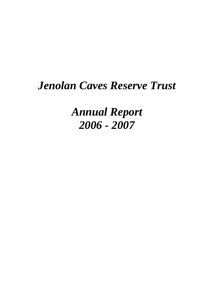# *Jenolan Caves Reserve Trust*

*Annual Report 2006 - 2007*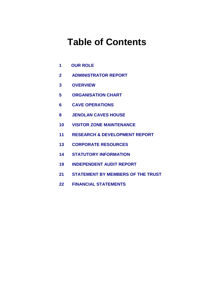# **Table of Contents**

- **OUR ROLE**
- **ADMINISTRATOR REPORT**
- **OVERVIEW**
- **ORGANISATION CHART**
- **CAVE OPERATIONS**
- **JENOLAN CAVES HOUSE**
- **VISITOR ZONE MAINTENANCE**
- **RESEARCH & DEVELOPMENT REPORT**
- **CORPORATE RESOURCES**
- **STATUTORY INFORMATION**
- **INDEPENDENT AUDIT REPORT**
- **STATEMENT BY MEMBERS OF THE TRUST**
- **FINANCIAL STATEMENTS**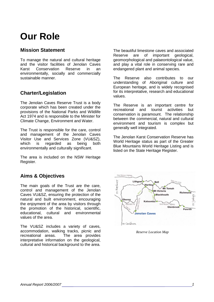# **Our Role**

# **Mission Statement**

To manage the natural and cultural heritage and the visitor facilities of Jenolan Caves<br>Karst Conservation Reserve in an Conservation environmentally, socially and commercially sustainable manner.

# **Charter/Legislation**

The Jenolan Caves Reserve Trust is a body corporate which has been created under the provisions of the National Parks and Wildlife Act 1974 and is responsible to the Minister for Climate Change, Environment and Water.

The Trust is responsible for the care, control and management of the Jenolan Caves Visitor Use and Services Zone (VU&SZ), regarded as being both environmentally and culturally significant.

The area is included on the NSW Heritage Register.

# **Aims & Objectives**

The main goals of the Trust are the care, control and management of the Jenolan Caves VU&SZ, ensuring the protection of the natural and built environment, encouraging the enjoyment of the area by visitors through the promotion of the historical, scientific, educational, cultural and environmental values of the area.

The VU&SZ includes a variety of caves, accommodation, walking tracks, picnic and<br>recreational areas. The area provides The area provides interpretative information on the geological, cultural and historical background to the area.

The beautiful limestone caves and associated Reserve are of important geological, geomorphological and palaeontological value, and play a vital role in conserving rare and endangered plant and animal species.

The Reserve also contributes to our understanding of Aboriginal culture and European heritage, and is widely recognised for its interpretative, research and educational values.

The Reserve is an important centre for recreational and tourist activities but conservation is paramount. The relationship between the commercial, natural and cultural environment and tourism is complex but generally well integrated.

The Jenolan Karst Conservation Reserve has World Heritage status as part of the Greater Blue Mountains World Heritage Listing and is listed on the State Heritage Register.



*Reserve Location Map*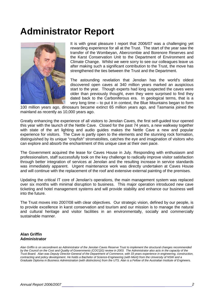# **Administrator Report**



It is with great pleasure I report that 2006/07 was a challenging yet rewarding experience for all at the Trust. The start of the year saw the transfer of the Wombeyan, Abercrombie and Borenore Reserves and the Karst Conservation Unit to the Department of Environment and Climate Change. Whilst we were sorry to see our colleagues leave us after making such a significant contribution to the Trust, the move has strengthened the ties between the Trust and the Department.

The astounding revelation that Jenolan has the world's oldest discovered open caves at 340 million years marked an auspicious start to the year. Though experts had long suspected the caves were older than previously thought, even they were surprised to find they dated back to the Carboniferous era. In geological terms, that is a very long time – to put it in context, the Blue Mountains began to form

100 million years ago, dinosaurs became extinct 65 million years ago, and Tasmania joined the mainland as recently as 10,000 years ago.

Greatly enhancing the experience of all visitors to Jenolan Caves, the first self-guided tour opened this year with the launch of the Nettle Cave. Closed for the past 74 years, a new walkway together with state of the art lighting and audio guides makes the Nettle Cave a new and popular experience for visitors. The Cave is partly open to the elements and the stunning rock formation, distinguished by its unique "crayfish" stromatolites, catches the eye and imagination of visitors who can explore and absorb the enchantment of this unique cave at their own pace.

The Government acquired the lease for Caves House in July. Responding with enthusiasm and professionalism, staff successfully took on the key challenge to radically improve visitor satisfaction through better integration of services at Jenolan and the resulting increase in service standards was immediately apparent. Urgent maintenance work was directly undertaken at Caves House and will continue with the replacement of the roof and extensive external painting of the premises.

Updating the critical IT core of Jenolan's operations, the main management system was replaced over six months with minimal disruption to business. This major operation introduced new cave ticketing and hotel management systems and will provide stability and enhance our business well into the future.

The Trust moves into 2007/08 with clear objectives. Our strategic vision, defined by our people, is to provide excellence in karst conservation and tourism and our mission is to manage the natural and cultural heritage and visitor facilities in an environmentally, socially and commercially sustainable manner.

## **Alan Griffin Administrator**

*Alan Griffin is on secondment as Administrator of the Jenolan Caves Reserve Trust to implement the structural changes recommended by the Council on the Cost and Quality of Governments (COCQG) review in 2003. The Administrator also acts in the capacity of the Trust Board. Alan was Deputy Director-General of the Department of Commerce, with 33 years experience in engineering, construction, contracting and policy development. He holds a Bachelor of Science-Engineering (with Merit) from the University of NSW and a Graduate Diploma in Business Administration (with distinctions) from the UTS. Alan is a Fellow of the Australian Institute of Engine*ers.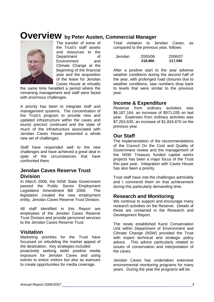# **Overview by Peter Austen, Commercial Manager**



The transfer of some of the Trust's staff assets and resources to the<br>Department of Department of<br>
Environment and Environment Climate Change at the beginning of the financial year and the acquisition of the lease for Jenolan Caves House at virtually

the same time heralded a period where the remaining management and staff were faced with enormous challenges.

A priority has been to integrate staff and management systems. The concentration of the Trust's program to provide new and updated infrastructure within the caves and tourist precinct continued and the state of much of the infrastructure associated with Jenolan Caves House presented a whole new set of challenges.

Staff have responded well to the new challenges and have achieved a great deal in spite of the circumstances that have confronted them.

# **Jenolan Caves Reserve Trust Division**

In March 2006, the NSW State Government passed the Public Sector Employment<br>Legislative Amendment Bill 2006. The Legislative Amendment Bill 2006. legislation created the new employment entity, Jenolan Caves Reserve Trust Division.

All staff identified in this Report are employees of the Jenolan Caves Reserve Trust Division and provide personnel services to the Jenolan Caves Reserve Trust.

## **Visitation**

Marketing priorities for the Trust have focussed on rebuilding the market appeal of the destination. Key strategies included proactively seeking wider positive media exposure for Jenolan Caves and using events to entice visitors but also as avenues to create opportunities for media coverage.

Total visitation to Jenolan Caves, as compared to the previous year, follows:

| Jenolan | 2005/06 | 2006/07 |
|---------|---------|---------|
|         | 218,866 | 217,590 |

After a positive start to the year adverse weather conditions during the second half of the year, with prolonged road closures due to weather conditions, saw numbers drop back to levels that were similar to the previous year.

## **Income & Expenditure**

Revenue from ordinary activities was \$6,187,164, an increase of \$971,035 on last year. Expenses from ordinary activities was \$7,263,630, an increase of \$1,834,670 on the previous year.

# **Our Staff**

The implementation of the recommendations of the Council On the Cost and Quality of Government review and the management of the NSW Treasury funded capital works projects has been a major focus of the Trust this past year. Integration with Caves House has also been a priority.

Trust staff have met the challenges admirably and I commend them on that achievement during this particularly demanding time.

## **Research and Monitoring**

We continue to support and encourage many research activities on the Reserve. Details of these are contained in the Research and Development Report.

The newly established Karst Conservation Unit within Department of Environment and Climate Change (NSW) provided the Trust with expert technical and strategic policy advice. This advice particularly related to issues of conservation and interpretation of the caves.

Jenolan Caves has undertaken extensive environmental monitoring programs for many years. During the year the programs will be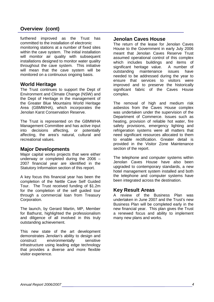# **Overview (cont)**

furthered improved as the Trust has committed to the installation of electronic monitoring stations at a number of fixed sites within the cave system. The initial installation will monitor air quality with subsequent installations designed to monitor water quality throughout the cave system. This initiative will mean that the cave system will be monitored on a continuous ongoing basis.

# **World Heritage**

The Trust continues to support the Dept of Environment and Climate Change (NSW) and the Dept of Heritage in the management of the Greater Blue Mountains World Heritage Area (GBMWHA), which incorporates the Jenolan Karst Conservation Reserve.

The Trust is represented on the GBMWHA Management Committee and has active input into decisions affecting, or potentially affecting, the area's natural, cultural and recreational values.

## **Major Developments**

Major capital works projects that were either underway or completed during the 2006 – 2007 financial year are identified in the Statutory Information section of this report.

A key focus this financial year has been the completion of the Nettle Cave Self Guided Tour. The Trust received funding of \$1.2m for the completion of the self guided tour through a commercial loan from Treasury Corporation.

The launch, by Gerard Martin, MP, Member for Bathurst, highlighted the professionalism and diligence of all involved in this truly outstanding achievement.

This new state of the art development demonstrates Jenolan's ability to design and construct environmentally sensitive infrastructure using leading edge technology that provides a diverse and more flexible visitor experience.

## **Jenolan Caves House**

The return of the lease for Jenolan Caves House to the Government in early July 2006 meant that Jenolan Caves Reserve Trust assumed operational control of this complex which includes buildings and items of<br>significant heritage value. A number of significant heritage value. outstanding maintenance issues have needed to be addressed during the year to ensure that services to visitors were improved and to preserve the historically significant fabric of the Caves House complex.

The removal of high and medium risk asbestos from the Caves House complex was undertaken under the supervision of the Department of Commerce. Issues such as heating, provision of reliable hot water, fire safety provisions, emergency lighting and refrigeration systems were all matters that need significant resources allocated to them to enable rectification. Greater detail is provided in the Visitor Zone Maintenance section of the report.

The telephone and computer systems within Jenolan Caves House have also been upgraded to contemporary standards, a new hotel management system installed and both the telephone and computer systems have been integrated across the destination.

## **Key Result Areas**

A review of the Business Plan was undertaken in June 2007 and the Trust's new Business Plan will be completed early in the new financial year. This plan gives the Trust a renewed focus and ability to implement many new plans and works.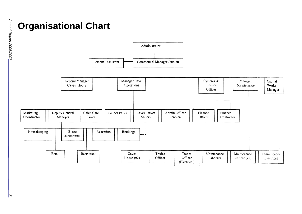# **Organisational Chart**

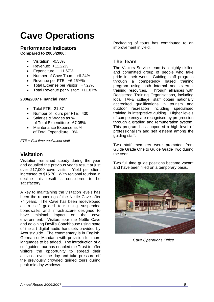# **Cave Operations**

## **Performance Indicators Compared to 2005/2006:**

- Visitation: -0.58%
- Revenue: +11.22%
- Expenditure: +11.67%
- Number of Cave Tours: +6.24%
- Revenue per FTE: +6.26%%
- Total Expense per Visitor: +7.27%
- Total Revenue per Visitor: +11.87%

## **2006/2007 Financial Year**

- Total FTE: 21.37
- Number of Tours per FTE: 430
- Salaries & Wages as % of Total Expenditure: 67.05%
- Maintenance Expense as % of Total Expenditure: 3%

*FTE = Full time equivalent staff*

# **Visitation**

Visitation remained steady during the year and equalled the previous year's result at just over 217,000 cave visits. Yield per client increased to \$15.70. With regional tourism in decline this result is considered to be satisfactory.

A key to maintaining the visitation levels has been the reopening of the Nettle Cave after 74 years. The Cave has been redeveloped as a self guided tour using suspended boardwalks and infrastructure designed to<br>have minimal impact on the cave have minimal impact on the cave environment. Visitors tour the Nettle Cave and adjoining Devil's Coachhouse using state of the art digital audio handsets provided by Acoustiguide. The commentary is in English, German or Mandarin with provision for more languages to be added. The introduction of a self guided tour has enabled the Trust to offer visitors the opportunity to spread their activities over the day and take pressure off the previously crowded guided tours during peak mid day windows.

Packaging of tours has contributed to an improvement in yield.

# **The Team**

The Visitors Service team is a highly skilled and committed group of people who take pride in their work. Guiding staff progress through a competency based training program using both internal and external training resources. Through alliances with Registered Training Organisations, including local TAFE college, staff obtain nationally accredited qualifications in tourism and outdoor recreation including specialised training in interpretive guiding. Higher levels of competency are recognised by progression through a grading and remuneration system. This program has supported a high level of professionalism and self esteem among the guiding staff.

Two staff members were promoted from Guide Grade One to Guide Grade Two during the year.

Two full time guide positions became vacant and have been filled on a temporary basis.



*Cave Operations Office*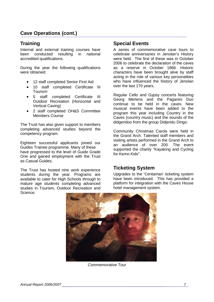# **Cave Operations (cont.)**

# **Training**

Internal and external training courses have<br>been conducted resulting in national been conducted resulting in accredited qualifications.

During the year the following qualifications were obtained:

- 12 staff completed Senior First Aid
- 10 staff completed Certificate III Tourism
- 5 staff completed Certificate III Outdoor Recreation (Horizontal and Vertical Caving)
- 2 staff completed OH&S Committee Members Course

The Trust has also given support to members completing advanced studies beyond the competency program.

Eighteen successful applicants joined our Guides Trainee programme. Many of these have progressed to the level of Guide Grade One and gained employment with the Trust as Casual Guides.

The Trust has hosted nine work experience students during the year. Programs are available to cater for High Schools through to mature age students completing advanced studies in Tourism, Outdoor Recreation and Science.

# **Special Events**

A series of commemorative cave tours to celebrate anniversaries in Jenolan's History were held. The first of these was in October 2006 to celebrate the declaration of the caves as a reserve in October 1866. Historic characters have been brought alive by staff acting in the role of various key personalities who have influenced the history of Jenolan over the last 170 years.

Regular Cello and Gypsy concerts featuring Georg Mertens and the Paganini Duo continue to be held in the caves. New musical events have been added to the program this year including Country in the Caves (country music) and the sounds of the didgeridoo from the group Didjeridu Dingo.

Community Christmas Carols were held in the Grand Arch. Talented staff members and visiting artists performed in the Grand Arch to an audience of over 200. The event supported the charity "Kayaking and Cycling for Kemo Kids".

# **Ticketing System**

Upgrades to the 'Centaman' ticketing system have been introduced. This has provided a platform for integration with the Caves House hotel management system.



*Commemorative Tour*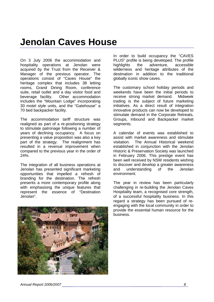# **Jenolan Caves House**

On 3 July 2006 the accommodation and hospitality operations at Jenolan were acquired by the Trust from the Receiver & Manager of the previous operator. The operations consist of "Caves House" the heritage complex that includes 38 letting rooms, Grand Dining Room, conference suite, retail outlet and a day visitor food and<br>beverage facility. Other accommodation Other accommodation includes the "Mountain Lodge" incorporating 30 motel style units, and the "Gatehouse" a 70 bed backpacker facility.

The accommodation tariff structure was realigned as part of a re-positioning strategy to stimulate patronage following a number of years of declining occupancy. A focus on presenting a value proposition was also a key part of the strategy. The realignment has resulted in a revenue improvement when compared to the previous year in the order of 24%.

The integration of all business operations at Jenolan has presented significant marketing opportunities that impelled a refresh of branding for the destination. The refresh presents a more contemporary profile along with emphasising the unique features that represent the essence of "Destination Jenolan".

In order to build occupancy the "CAVES PLUS" profile is being developed. The profile<br>highlights the adventure, accessible adventure, wilderness and heritage attributes of the destination in addition to the traditional globally iconic show caves.

The customary school holiday periods and weekends have been the initial periods to<br>receive strong market demand. Midweek receive strong market demand. trading is the subject of future marketing initiatives. As a direct result of integration innovative products can now be developed to stimulate demand in the Corporate Retreats, Groups, Inbound and Backpacker market segments.

A calendar of events was established to assist with market awareness and stimulate visitation. The Annual Historical weekend established in conjunction with the Jenolan Historic & Preservation Society was launched in February 2006. This prestige event has been well received by NSW residents wishing to discover and develop a greater awareness and understanding of the Jenolan environment.

The year in review has been particularly challenging in re-building the Jenolan Caves Hospitality team, a recognised core strength, of a successful hospitality business. In this regard a strategy has been pursued of reengaging with the local community in order to provide the essential human resource for the business.

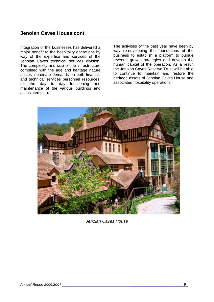# **Jenolan Caves House cont.**

Integration of the businesses has delivered a major benefit to the hospitality operations by way of the expertise and services of the Jenolan Caves technical services division. The complexity and size of the infrastructure combined with the age and heritage nature places inordinate demands on both financial and technical services personnel resources, for the day to day functioning and maintenance of the various buildings and associated plant.

The activities of the past year have been by way re-developing the foundations of the business to establish a platform to pursue revenue growth strategies and develop the human capital of the operation. As a result the Jenolan Caves Reserve Trust will be able to continue to maintain and restore the heritage assets of Jenolan Caves House and associated hospitality operations.



*Jenolan Caves House*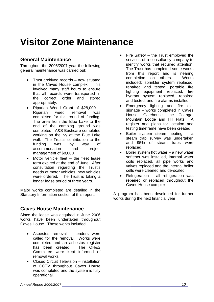# **Visitor Zone Maintenance**

# **General Maintenance**

Throughout the 2006/2007 year the following general maintenance was carried out:

- Trust archived records now situated in the Caves House complex. This involved many staff hours to ensure that all records were transported in<br>the correct order and stored the correct order appropriately.
- Riparian Weed Grant of \$28,000 Riparian weed removal was completed for this round of funding. The area from the Blue Lake to the end of the camping ground was completed. A&S Bushcare completed working on the ivy at the Blue Lake wall. The Trust's contribution to the funding was by way of funding was by way of accommodation and project management of \$8,000.
- Motor vehicle fleet  $-$  the fleet lease term expired at the end of June. After consultation regarding the Trust's needs of motor vehicles, new vehicles were ordered. The Trust is taking a longer lease period of three years.

Major works completed are detailed in the Statutory Information section of this report.

# **Caves House Maintenance**

Since the lease was acquired in June 2006 works have been undertaken throughout Caves House. These works included:

- Asbestos removal tenders were called for the removal. Works were completed and an asbestos register has been created. The OH&S Committee were kept informed of removal works.
- Closed Circuit Television installation of CCTV throughout Caves House was completed and the system is fully operational.
- Fire Safety  $-$  the Trust employed the services of a consultancy company to identify works that required attention. The Trust has completed some works from this report and is nearing<br>completion on others. Works completion on others. included: sprinkler system replaced, repaired and tested; portable fire fighting equipment replaced; fire hydrant system replaced, repaired and tested; and fire alarms installed.
- Emergency lighting and fire exit signage – works completed in Caves House, Gatehouse, the Cottage, Mountain Lodge and Hill Flats. A register and plans for location and testing timeframe have been created.
- Boiler system steam heating  $-$  a steam trap survey was undertaken and 95% of steam traps were replaced.
- Boiler system hot water  $-$  a new water softener was installed, internal water coils replaced, all pipe works and valves replaced and the internal boiler cells were cleaned and de-scaled.
- Refrigeration  $-$  all refrigeration was repaired or replaced throughout the Caves House complex.

A program has been developed for further works during the next financial year.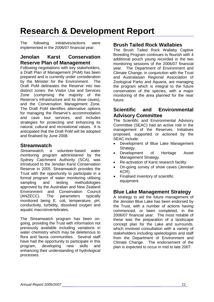# **Research & Development Report**

The following initiatives/actions were implemented in the 2006/07 financial year:

# **Jenolan Karst Conservation Reserve Plan of Management**

Following negotiations with key stakeholders, a Draft Plan of Management (PoM) has been prepared and is currently under consideration by the Minister for the Environment. The Draft PoM delineates the Reserve into two distinct zones: the Visitor Use and Services Zone (comprising the majority of the Reserve's infrastructure and its show caves), and the Conversation Management Zone. The Draft PoM identifies alternative options for managing the Reserve's accommodation and cave tour services, and includes strategies for protecting and enhancing its natural, cultural and recreational values. It is anticipated that the Draft PoM will be adopted and finalised by June 2008.

# **Streamwatch**

*Streamwatch,* a volunteer-based water monitoring program administered by the Sydney Catchment Authority (SCA), was introduced to the Jenolan Karst Conservation Reserve in 2005. Streamwatch provides the Trust with the opportunity to participate in a formal program of water monitoring utilising<br>sampling and testing methodologies sampling and testing methodologies approved by the Australian and New Zealand Environment and Conservation Council<br>(ANZECC). The parameters typically parameters typically monitored being E. coli, temperature, pH, conductivity, turbidity, dissolved oxygen and aquatic macroinvertebrates.

The Streamwatch program has been ongoing, providing the Trust with information not previously available including variations in water chemistry which may be deleterious to flora and fauna communities. Several staff have had the opportunity to participate in this program, developing new skills and enhancing their understanding of hydrological processes.

# **Brush Tailed Rock Wallabies**

The Brush Tailed Rock Wallaby Captive Breeding Program continues to flourish with 4 additional pouch young recorded in the two monitoring sessions of the 2006/07 financial year. The Department of Environment and Climate Change, in conjunction with the Trust and Australasian Regional Association of Zoological Parks and Aquaria, are managing the program which is integral to the future conservation of the species, with a major monitoring of the area planned for the near future.

# **Scientific and Environmental Advisory Committee**

The Scientific and Environmental Advisory Committee (SEAC) had an active role in the management of the Reserves. Initiatives proposed, supported or actioned by the SEAC include:

- Development of Blue Lake Management Strategy.
- Development of Heritage Asset Management Strategy.
- Re-activation of Karst research facility.
- On-going survey of show caves (Jenolan KCR).
- Finalised inventory of scientific equipment.

# **Blue Lake Management Strategy**

A strategy to aid the future management of the Jenolan Blue Lake has been endorsed by the Trust, with a number of actions having commenced, or been completed, in the 2006/07 financial year. The most notable of these was the preparation of a landscape concept plan for the Lake and surrounds, which involved consultation with a variety of stakeholders including speleologists and staff from the Department of Environment and Climate Change. The endorsement of the plan is expected to occur in mid to late 2007.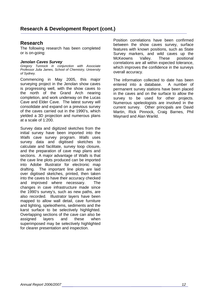# **Research**

The following research has been completed or is on-going:

## *Jenolan Caves Survey*

*Gregory Tunnock in conjunction with Associate Professor Julia James, School of Chemistry, University of Sydney.*

Commencing in May 2005, this major surveying project in the Jenolan show caves is progressing well, with the show caves to the north of the Grand Arch nearing completion, and work underway on the Lucas Cave and Elder Cave. The latest survey will consolidate and expand on a previous survey of the caves carried out in the 1990's, which yielded a 3D projection and numerous plans at a scale of 1:200.

Survey data and digitized sketches from the initial survey have been imported into the *Walls* cave survey program. *Walls* uses survey data and digitised sketches to calculate and facilitate, survey loop closure, and the preparation of cave map plans and sections. A major advantage of *Walls* is that the cave line plots produced can be imported into Adobe Illustrator for electronic map drafting. The important line plots are laid over digitised sketches, printed, then taken into the caves to have their accuracy checked and improved where necessary. The changes in cave infrastructure made since the 1990's survey's, such as new paths, are also recorded. Illustrator layers have been mapped to allow wall detail, cave furniture and lighting, speleothems, sediments and the karst surface to be selectively highlighted. Overlapping sections of the cave can also be assigned layers and these when superimposed may be selectively highlighted for clearer presentation and inspection.

Position correlations have been confirmed between the show caves survey, surface features with known positions, such as State Survey markers, and wild caves up the<br>McKeowns Vallev. These positional McKeowns Valley. These positional correlations are all within expected tolerance, which improves the confidence in the surveys overall accuracy.

The information collected to date has been<br>entered into a database. A number of entered into a database. permanent survey stations have been placed in the caves and on the surface to allow the survey to be used for other projects. Numerous speleologists are involved in the current survey. Other principals are David Martin, Rick Pinnock, Craig Barnes, Phil Maynard and Alan Warild.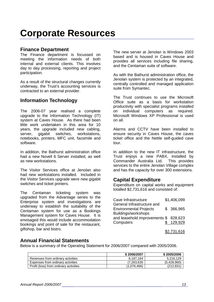# **Finance Department**

The Finance department is focussed on meeting the information needs of both internal and external clients. This involves day to day processing, reporting and project participation.

As a result of the structural changes currently underway, the Trust's accounting services is contracted to an external provider.

# **Information Technology**

The 2006-07 year realised a complete upgrade to the Information Technology (IT) system at Caves House. As there had been little work undertaken in this area for 10 years, the upgrade included new cabling,<br>server, qiqabit switches, workstations, server, gigabit switches, workstations, notebooks, printers, MFC unit, facsimile and software.

In addition, the Bathurst administration office had a new Novell 6 Server installed, as well as new workstations.

The Visitor Services office at Jenolan also had new workstations installed. Included in the Visitor Services upgrade were new gigabit switches and ticket printers.

The Centaman ticketing system was upgraded from the Advantage series to the Enterprise system and investigations are underway to establish the suitability of the Centaman system for use as a Bookings Management system for Caves House. It is envisaged this would include accommodation bookings and point of sale for the restaurant, giftshop, bar and bistro.

The new server at Jenolan is Windows 2003 based and is housed in Caves House and provides all services including file sharing, and the Centaman suite of software.

As with the Bathurst administration office, the Jenolan system is protected by an integrated, centrally controlled and managed application suite from Symantec.

The Trust continues to use the Microsoft Office suite as a basis for workstation productivity with specialist programs installed on individual computers as required. Microsoft Windows XP Professional is used on all.

Alarms and CCTV have been installed to ensure security in Caves House, the caves ticket office and the Nettle self-guided cave tour.

In addition to the new IT infrastructure, the Trust enjoys a new PABX, installed by Commander Australia Ltd. services to the entire Jenolan Village complex and has the capacity for over 300 extensions.

# **Capital Expenditure**

Expenditure on capital works and equipment totalled \$2,731,616 and consisted of:

| Cave Infrastructure                                                                | \$1,406,099 |
|------------------------------------------------------------------------------------|-------------|
| General Infrastructure and<br><b>Environmental Projects</b><br>Buildings/workshops | \$ 366,965  |
| and leasehold improvements \$828,623                                               |             |
| Computers                                                                          | \$129,929   |
|                                                                                    | \$2,731,616 |

**Annual Financial Statements**

Below is a summary of the Operating Statement for 2006/2007 compared with 2005/2006.

|                                        | \$2006/2007  | \$2005/2006 |
|----------------------------------------|--------------|-------------|
| Revenues from ordinary activities      | 6.187.164    | 5,216,129   |
| Expenses from ordinary activities      | (7.263.630)  | (5,428,960) |
| Profit (loss) from ordinary activities | (1.076, 466) | (212, 831)  |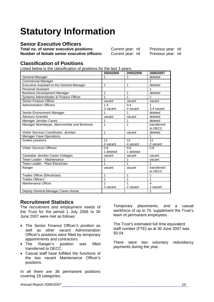# **Statutory Information**

# **Senior Executive Officers**

**Total no. of senior executive positions:** Current year: nil Previous year: nil<br> **Number of female senior executive officers:** Current year: nil Previous year: nil **Number of female senior executive officers:** 

# **Classification of Positions**

Listed below is the classification of positions for the last 3 years.

|                                            | 2004/2005 | 2005/2006 | 2006/2007              |
|--------------------------------------------|-----------|-----------|------------------------|
| General Manager                            | 1         | 1         | deleted                |
| <b>Commercial Manager</b>                  |           |           |                        |
| Executive Assistant to the General Manager | 1         | 1         | deleted                |
| <b>Personal Assistant</b>                  |           |           |                        |
| <b>Business Development Manager</b>        | 1         | 1         | deleted                |
| Systems Administrator & Finance Officer    | 1         | 1         |                        |
| Senior Finance Officer                     | vacant    | vacant    | vacant                 |
| <b>Administration Officers</b>             | 1.4       | 0.4       |                        |
|                                            | 3 vacant  | 4 vacant  | 3.4 vacant             |
| Senior Environment Manager                 |           | 1         | deleted                |
| <b>Advisory Scientist</b>                  | vacant    | vacant    | deleted                |
| Manager Jenolan Caves                      | 1         | 1         | deleted                |
| Manager Wombeyan, Abercrombie and Borenore | 1         | 1         | transferred<br>to DECC |
| Visitor Services Coordinator, Jenolan      | 1         | vacant    | deleted                |
| <b>Manager Cave Operations</b>             |           |           | 1                      |
| Guides positions                           | 12        | 12        | 12                     |
|                                            | 4 vacant  | 4 vacant  | 2 vacant               |
| <b>Visitor Services Officers</b>           | 0.6       | 0.6       | 0.8                    |
|                                            | 1 deleted | 1 deleted |                        |
| Caretaker Jenolan Caves Cottages           | vacant    | vacant    | vacant                 |
| Team Leader - Maintenance                  | 1         | 1         | vacant                 |
| Team Leader - Plant Electrician            | 1         | 1         | 1                      |
| Ranger                                     | vacant    | vacant    | transferred<br>to DECC |
| Trades Officer (Electrician)               | 1         | 1         | 1                      |
| <b>Trades Officers</b>                     | 1         | 1         | 1                      |
| Maintenance Officer                        | 2         | 1         | 4                      |
|                                            | 2 vacant  | 2 vacant  | 2 vacant               |
| Deputy General Manager Caves House         |           |           |                        |

# **Recruitment Statistics**

The recruitment and employment needs of the Trust for the period 1 July 2006 to 30 June 2007 were met as follows:

- The Senior Finance Officer's position as well as other vacant Administration Officer's positions were filled by temporary appointments and contractors.
- The Ranger's position was filled transferred to DECC.
- Casual staff have fulfilled the functions of the two vacant Maintenance Officer's positions.

In all there are 36 permanent positions covering 18 categories.

Temporary placements, and a casual workforce of up to 70, supplement the Trust's team of permanent employees.

The Trust's estimated full time equivalent staff number (FTE) as at 30 June 2007 was 50.04.

There were two voluntary redundancy payments during the year.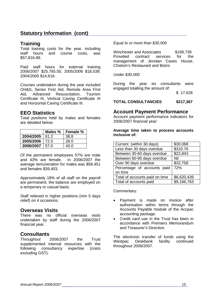# **Statutory Information (cont)**

# **Training**

Total training costs for the year, including<br>staff hours and course costs. was staff hours and course costs, was \$57,816.88.

Paid staff hours for external training 2006/2007 \$25,785.55; 2005/2006 \$18,539; 2004/2005 \$14,616.

Courses undertaken during the year included OH&S, Senior First Aid, Remote Area First Aid, Advanced Resuscitation, Certificate III, Vertical Caving Certificate III and Horizontal Caving Certificate III.

## **EEO Statistics**

Total positions held by males and females are detailed below:

|           | Males % | Female % |
|-----------|---------|----------|
| 2004/2005 | 61.2    | 38.8     |
| 2005/2006 | 72.0    | 28.0     |
| 2006/2007 | 57.0    | 43.0     |

Of the permanent employees 57% are male and 43% are female. In 2006/2007 the average remuneration for males was \$58,451 and females \$39,403.

Approximately 18% of all staff on the payroll are permanent, the balance are employed on a temporary or casual basis.

Staff relieved in higher positions (min 5 days relief) on 4 occasions.

## **Overseas Visits**

There was no official overseas visits undertaken by staff during the 2006/2007 financial year.

# **Consultants**<br>Throughout

2006/2007 the Trust supplemented internal resources with the following consultancy expertise (costs excluding GST):

*Equal to or more than \$30,000*

Winchester and Associates \$199,739<br>Provided contract services for the contract management of Jenolan Caves House, Chislom's Restaurant and Bistro

*Under \$30,000*

During the year six consultants were engaged totalling the amount of:

\$ 17,628

**TOTAL CONSULTANCIES \$217,367**

## **Account Payment Performance**

Account payment performance indicators for 2006/2007 financial year:

**Average time taken to process accounts inclusive of:**

| Current (within 30 days)       | \$30,068    |
|--------------------------------|-------------|
| Less than 30 days overdue      | \$310.76    |
| Between 30-60 days overdue     | \$22,843    |
| Between 60-90 days overdue     | Nil         |
| Over 90 days overdue           | \$32,758    |
| Percentage of accounts paid    | 72%         |
| on time                        |             |
| Total of accounts paid on time | \$6,620,439 |
| Total of accounts paid         | \$9,166,763 |

Commentary:

- Payment is made on invoice after authorisation within terms through the Accounts Payable module of the Accpac accounting package.
- Credit card use in the Trust has been in accordance with Premiers Memorandum and Treasurer's Direction.

The electronic transfer of funds using the Westpac Deskbank facility continued throughout 2006/2007.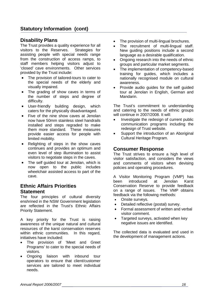# **Disability Plans**

The Trust provides a quality experience for all<br>visitors to the Reserves. Strategies for visitors to the Reserves. assisting people with special needs range from the construction of access ramps, to staff members helping visitors adjust to 'closed' cave environments. Other services provided by the Trust include:

- The provision of tailored-tours to cater to the special needs of the elderly and visually impaired.
- The grading of show caves in terms of the number of steps and degree of difficulty.
- User-friendly building design, which caters for the physically disadvantaged.
- Five of the nine show caves at Jenolan now have 50mm stainless steel handrails installed and steps regraded to make them more standard. These measures provide easier access for people with limited mobility.
- Relighting of steps in the show caves continues and provides an optimum and even level of step illumination to assist visitors to negotiate steps in the caves.
- The self guided tour at Jenolan, which is now open to the public includes wheelchair assisted access to part of the cave.

# **Ethnic Affairs Priorities Statement**

The four principles of cultural diversity enshrined in the NSW Government legislation are reflected in the Trust's Ethnic Affairs Priority Statement.

A key priority for the Trust is raising awareness of the unique natural and cultural resources of the karst conservation reserves within ethnic communities. In this regard, initiatives have included:

- The provision of 'Meet and Greet Programs' to cater to the special needs of visitors.
- Ongoing liaison with inbound tour operators to ensure that client/customer services are tailored to meet individual needs.
- The provision of multi-lingual brochures.
- The recruitment of multi-lingual staff. New guiding positions include a second language as a desirable qualification.
- Ongoing research into the needs of ethnic groups and particular market segments.
- The implementation of competency-based training for guides, which includes a nationally recognised module on cultural awareness.
- Provide audio guides for the self guided tour at Jenolan in English, German and Mandarin.

The Trust's commitment to understanding and catering to the needs of ethnic groups will continue in 2007/2008. It will:

- Investigate the redesign of current public communication programs including the redesign of Trust website.
- Support the introduction of an Aboriginal Cultural Heritage Program.

# **Consumer Response**

The Trust strives to ensure a high level of visitor satisfaction, and considers the views and comments of visitors when devising policies and operating procedures.

A Visitor Monitoring Program (VMP) has been introduced at Jenolan Karst Conservation Reserve to provide feedback<br>on a range of issues. The VMP obtains on a range of issues. feedback via the following methods:

- Onsite surveys.
- Detailed reflective (postal) survey.
- Formal assessment of written and verbal visitor comment.
- Targeted surveys, activated when key negative issues are identified.

The collected data is evaluated and used in the development of management actions.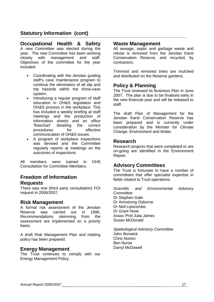# **Statutory Information (cont)**

**Occupational Health & Safety** A new Committee was elected during the year. The new Committee has been working<br>closely with management and staff. closely with management Objectives of the committee for the year included:

- Coordinating with the Jenolan guiding staff's cave maintenance program to continue the elimination of all slip and trip hazards within the show-cave system.
- Introducing a regular program of staff education in OH&S legislation and OH&S process in the workplace. This has included a weekly briefing at staff meetings and the production of information sheets and an office<br>"flowchart" detailing the correct 'flowchart' procedures for effective communication of OH&S issues.
- A program of workplace inspections was devised and the Committee regularly reports at meetings on the outcomes of inspections.

All members were trained in OHS Consultation for Committee Members.

# **Freedom of Information Requests**

There was one (third party consultation) FOI request in 2006/2007.

## **Risk Management**

A formal risk assessment of the Jenolan Reserve was carried out in 1996. Recommendations stemming from the assessment are implemented on a priority basis.

A draft Risk Management Plan and relating policy has been prepared.

## **Energy Management**

The Trust continues to comply with our Energy Management Policy.

## **Waste Management**

All sewage, septic and garbage waste and refuse is removed from the Jenolan Karst Conservation Reserve, and recycled, by contractors.

Trimmed and removed trees are mulched and distributed on the Reserve gardens.

# **Policy & Planning**

The Trust reviewed its Business Plan in June 2007. The plan is due to be finalised early in the new financial year and will be released to staff.

The draft Plan of Management for the Jenolan Karst Conservation Reserve has been prepared and is currently under consideration by the Minister for Climate Change, Environment and Water.

## **Research**

Research projects that were completed or are on-going are identified in the Environment Report.

## **Advisory Committees**

The Trust is fortunate to have a number of committees that offer specialist expertise in fields related to Trust operations.

*Scientific and Environmental Advisory Committee* Dr Stephen Gale Dr Armstrong Osborne Dr Neil Lipscombe Dr Grant Hose Assoc Prof Julia James Susan McDonald

*Speleological Advisory Committee* John Bonwick Chris Norton Ben Nurse Darryl McDowell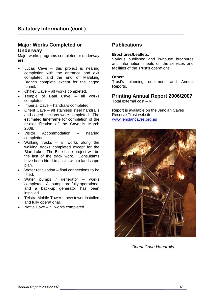# **Major Works Completed or Underway**

Major works programs completed or underway are:

- Lucas Cave this project is nearing completion with the entrance and exit completed and the end of Mafeking Branch complete except for the caged tunnel.
- Chifley Cave all works completed.
- Temple of Baal Cave all works completed.
- Imperial Cave handrails completed.
- Orient Cave all stainless steel handrails and caged sections were completed. The estimated timeframe for completion of the re-electrification of the Cave is March 2008.
- Visitor Accommodation nearing completion.
- Walking tracks  $-$  all works along the walking tracks completed except for the Blue Lake. The Blue Lake project will be the last of the track work. Consultants have been hired to assist with a landscape plan.
- Water reticulation final connections to be fitted.
- Water pumps / generator works completed. All pumps are fully operational and a back-up generator has been installed.
- Telstra Mobile Tower new tower installed and fully operational.
- Nettle Cave all works completed.

# **Publications**

## **Brochures/Leaflets:**

Various published and in-house brochures and information sheets on the services and facilities of the Trust's operations.

## **Other:**

Trust's planning document and Annual Reports.

## **Printing Annual Report 2006/2007**

Total external cost – Nil.

Report is available on the Jenolan Caves Reserve Trust website [www.jenolancaves.org.au](http://www.jenolancaves.org.au/)



*Orient Cave Handrails*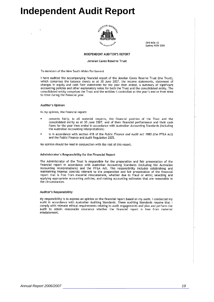# **Independent Audit Report**



GPO BOX 12 Sydney NSW 2001

#### **INDEPENDENT AUDITOR'S REPORT**

#### Jenolan Caves Reserve Trust

To Members of the New South Wales Parliament

I have audited the accompanying financial report of the Jenolan Caves Reserve Trust (the Trust), which comprises the balance sheets as at 30 June 2007, the income statements, statement of changes in equity and cash flow statements for the year then ended, a summary of significant accounting policies and other explanatory notes for both the Trust and the consolidated entity. The consolidated entity comprises the Trust and the entities it controlled at the year's end or from time to time during the financial year.

#### Auditor's Opinion

 $\ddot{\phantom{1}}$ 

In my opinion, the financial report:

- presents fairly, in all material respects, the financial position of the Trust and the consolidated entity as at 30 June 2007, and of their financial performance and their cash flows for the year then ended in accordance with Australian Accounting Standards (including the Australian Accounting Interpretations)
- is in accordance with section 41B of the Public Finance and Audit Act 1983 (the PF&A Act) and the Public Finance and Audit Regulation 2005.

My opinion should be read in conjunction with the rest of this report.

#### Administrator's Responsibility for the Financial Report

The Administrator of the Trust is responsible for the preparation and fair presentation of the financial report in accordance with Australian Accounting Standards (including the Australian Accounting Interpretations) and the PF&A Act. This responsibility includes establishing and maintaining internal controls relevant to the preparation and fair presentation of the financial report that is free from material misstatement, whether due to fraud or error; selecting and applying appropriate accounting policies; and making accounting estimates that are reasonable in the circumstances.

#### Auditor's Responsibility

My responsibility is to express an opinion on the financial report based on my audit. I conducted my audit in accordance with Australian Auditing Standards. These Auditing Standards require that 1 comply with relevant ethical requirements relating to audit engagements and plan and perform the audit to obtain reasonable assurance whether the financial report is free from material misstatement.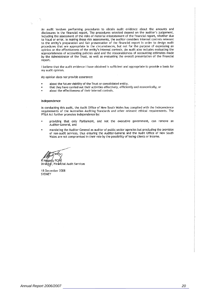An audit involves performing procedures to obtain audit evidence about the amounts and disclosures in the financial report. The procedures selected depend on the auditor's judgement, including the assessment of the risks of material misstatement of the financial report, whether due to fraud or error. In making those risk assessments, the auditor considers internal controls relevant to the entity's preparation and fair presentation of the financial report in order to design audit procedures that are appropriate in the circumstances, but not for the purpose of expressing an opinion on the effectiveness of the entity's internal controls. An audit also includes evaluating the appropriateness of accounting policies used and the reasonableness of accounting estimates made by the Administrator of the Trust, as well as evaluating the overall presentation of the financial report.

I believe that the audit evidence I have obtained is sufficient and appropriate to provide a basis for my audit opinion.

My opinion does not provide assurance:

- about the future viability of the Trust or consolidated entity,
- that they have carried out their activities effectively, efficiently and economically, or
- about the effectiveness of their internal controls.

#### Independence

 $^{\circ}$ 

In conducting this audit, the Audit Office of New South Wales has complied with the independence requirements of the Australian Auditing Standards and other relevant ethical requirements. The PF&A Act further promotes independence by:

- providing that only Parliament, and not the executive government, can remove an Auditor-General, and
- mandating the Auditor-General as auditor of public sector agencies but precluding the provision of non-audit services, thus ensuring the Auditor-General and the Audit Office of New South Wales are not compromised in their role by the possibility of losing clients or income.

R Hegarty FCPA

Director, Financial Audit Services

18 December 2008 SYDNEY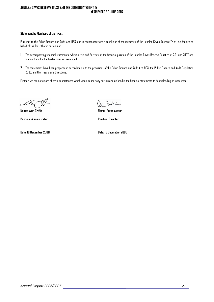## **JENOLAN CAVES RESERVE TRUST AND THE CONSOLIDATED ENTITY YEAR ENDED 30 JUNE 2007**

#### **Statement by Members of the Trust**

Pursuant to the Public Finance and Audit Act 1983, and in accordance with a resolution of the members of the Jenolan Caves Reserve Trust, we declare on behalf of the Trust that in our opinion:

- 1. The accompanying financial statements exhibit a true and fair view of the financial position of the Jenolan Caves Reserve Trust as at 30 June 2007 and transactions for the twelve months then ended.
- 2. The statements have been prepared in accordance with the provisions of the Public Finance and Audit Act 1983, the Public Finance and Audit Regulation 2005, and the Treasurer's Directions.

Further, we are not aware of any circumstances which would render any particulars included in the financial statements to be misleading or inaccurate.

Ala

**Position: Administrator Position: Director**

**Name: Alan Griffin Name: Peter Austen**

**Date: 18 December 2008 Date: 18 December 2008**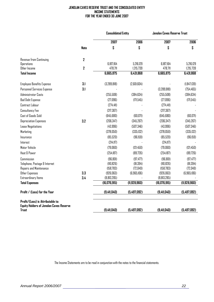## **JENOLAN CAVES RESERVE TRUST AND THE CONSOLDATED ENTITY INCOME STATEMENTS FOR THE YEAR ENDED 30 JUNE 2007**

|                                                                                                     |              | <b>Consolidated Entity</b> |               | Jenolan Caves Reserve Trust |               |
|-----------------------------------------------------------------------------------------------------|--------------|----------------------------|---------------|-----------------------------|---------------|
|                                                                                                     |              | 2007                       | 2006          | 2007                        | 2006          |
|                                                                                                     | Note         | \$                         | \$            | \$                          | S             |
| <b>Revenue from Continuing</b>                                                                      | $\mathbf{Z}$ |                            |               |                             |               |
| <b>Operations</b>                                                                                   |              | 6,187,164                  | 5,216,129     | 6,187,164                   | 5,216,129     |
| Other Income                                                                                        | 2            | 478,711                    | 1,215,739     | 478,711                     | 1,215,739     |
| <b>Total Income</b>                                                                                 |              | 6,665,875                  | 6,431,868     | <b>G, 665, 875</b>          | 6,431,868     |
| <b>Employee Benefits Expense</b>                                                                    | 3.1          | (3,289,818)                | (2,601,604)   |                             | (1,847,139)   |
| Personnel Services Expense                                                                          | 3.1          |                            |               | (3,289,818)                 | (754, 465)    |
| <b>Administrator Costs</b>                                                                          |              | (255,508)                  | (384, 634)    | (255,508)                   | (384, 634)    |
| <b>Bad Debt Expense</b>                                                                             |              | (27, 096)                  | (171,545)     | (27, 096)                   | (171,545)     |
| Contract Labour                                                                                     |              | (274, 411)                 |               | (274, 411)                  |               |
| Consultancy Fee                                                                                     |              | (217, 367)                 |               | (217, 367)                  |               |
| Cost of Goods Sold                                                                                  |              | (645,680)                  | (B0,071)      | (645,680)                   | (B0,071)      |
| Depreciation Expenses                                                                               | 3.2          | (206, 347)                 | (345, 267)    | (206, 347)                  | (345, 267)    |
| Lease Negotiations                                                                                  |              | (43, 996)                  | (507, 346)    | (43, 996)                   | (507, 346)    |
| Marketing                                                                                           |              | (378,050)                  | (335, 132)    | (378,050)                   | (335, 132)    |
| Insurance                                                                                           |              | (85,520)                   | (96, 159)     | (85,520)                    | (96, 159)     |
| Interest                                                                                            |              | (214, 117)                 |               | (214, 117)                  |               |
| Motor Vehicle                                                                                       |              | (79,060)                   | (121, 450)    | (79,060)                    | (121, 450)    |
| Heat & Power                                                                                        |              | (254, 187)                 | (89, 726)     | (254, 187)                  | (89, 726)     |
| Commission                                                                                          |              | (96, 801)                  | (97, 477)     | (96, 801)                   | (97, 477)     |
| Telephone, Postage & Internet                                                                       |              | (110, 826)                 | (81, 394)     | (110, 826)                  | (81, 394)     |
| Repairs and Maintenance                                                                             |              | (158, 783)                 | (72, 049)     | (158, 783)                  | (72, 049)     |
| Other Expenses                                                                                      | 3.3          | (926,063)                  | (B, 965, 106) | (926,063)                   | (B, 965, 106) |
| Extraordinary Items                                                                                 | 3.4          | (B, 813, 285)              |               | (B, 813, 285)               |               |
| <b>Total Expenses</b>                                                                               |              | (16,076,915)               | (11,928,960)  | (16,076,915)                | (11,928,960)  |
| Profit / (Loss) for the Year                                                                        |              | (9,411,040)                | (5,497,092)   | (9,411,040)                 | (5,497,092)   |
| Profit/(Loss) is Attributable to:<br><b>Equity Holders of Jenolan Caves Reserve</b><br><b>Trust</b> |              | (9,411,040)                | (5,497,092)   | (9,411,040)                 | (5,497,092)   |

The Income Statements are to be read in conjunction with the notes to the financial statements.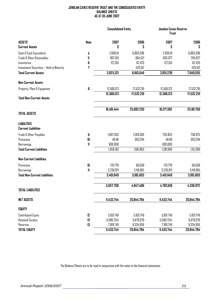## **JENOLAN CAVES RESERVE TRUST AND THE CONSOLIDATED ENTITY BALANCE SHEETS AS AT 30 JUNE 2007**

|                                                  |               | <b>Consolidated Entity</b> |            | Jenolan Caves Reserve<br><b>Trust</b> |            |
|--------------------------------------------------|---------------|----------------------------|------------|---------------------------------------|------------|
| <b>ASSETS</b>                                    | Note          | 2007                       | 2006       | 2007                                  | 2006       |
| <b>Current Assets</b>                            |               | S                          | \$         | \$                                    | S          |
| Cash & Cash Equivalents                          | 4             | 2,836,111                  | 6.863.596  | 2,836,111                             | 6.863.596  |
| Trade & Other Receivables                        | 5             | 967,159                    | 804,521    | 693,077                               | 294,027    |
| Inventories                                      | 6             | 122,051                    | 62,420     | 122,051                               | 62,420     |
| <b>Investment Securities - Held to Maturity</b>  | 7             |                            | 429,512    |                                       | 429,512    |
| <b>Total Current Assets</b>                      |               | 3,925,321                  | 8,160,049  | 3,651,239                             | 7,649,555  |
| <b>Non-Current Assets</b>                        |               |                            |            |                                       |            |
| Property, Plant & Equipment                      | 8             | 12,566,123                 | 17,532,201 | 12,566,123                            | 17,532,201 |
|                                                  |               | 12,566,123                 | 17,532,201 | 12,566,123                            | 17,532,201 |
| <b>Total Non-Current Assets</b>                  |               |                            |            |                                       |            |
| <b>TOTAL ASSETS</b>                              |               | 16,491,444                 | 25,692,250 | 16,217,362                            | 25,181,756 |
|                                                  |               |                            |            |                                       |            |
| <b>LIABILITIES</b><br><b>Current Liabilities</b> |               |                            |            |                                       |            |
| Trade & Other Payables                           | 9             | 1,007,935                  | 1,268,569  | 733,853                               | 758,075    |
| Provisions                                       | 10            | 48,116                     | 393,294    | 48,116                                | 393,294    |
| Borrowings                                       | $\mathbf{11}$ | 600,000                    |            | 600,000                               |            |
| <b>Total Current Liabilities</b>                 |               | 1,656,051                  | 1,661,863  | 1,381,969                             | 1,151,369  |
| <b>Non-Current Liabilities</b>                   |               |                            |            |                                       |            |
| Provisions                                       | 10            | 170,778                    | 66,638     | 170,778                               | 66,638     |
| Borrowings                                       | $\mathbf{11}$ | 3,230,871                  | 3,118,965  | 3,230,871                             | 3,118,965  |
| <b>Total Non-Current Liabilities</b>             |               | 3,401,649                  | 3,185,603  | 3,401,649                             | 3,185,603  |
|                                                  |               | 5,057,700                  | 4,847,466  | 4,783,618                             | 4,336,972  |
| <b>TOTAL LIABILITIES</b>                         |               |                            |            |                                       |            |
| <b>NET ASSETS</b>                                |               | 11,433,744                 | 20,844,784 | 11,433,744                            | 20,844,784 |
| <b>EQUITY</b>                                    |               |                            |            |                                       |            |
| Contributed Equity                               | 12            | 5,831,749                  | 5,831,749  | 5,831,749                             | 5,831,749  |
| <b>Retained Surplus</b>                          | 13            | (1,586,754)                | 6,678,079  | (1,586,754)                           | 6,678,079  |
| Reserves                                         | 13            | 7,188,749                  | 8,334,956  | 7,188,749                             | 8,334,956  |
| <b>TOTAL EQUITY</b>                              |               | 11,433,744                 | 20,844,784 | 11,433,744                            | 20,844,784 |

The Balance Sheets are to be read in conjunction with the notes to the financial statements.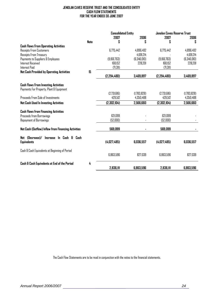|                                                                                         |      | <b>Consolidated Entity</b> |             |             | Jenolan Caves Reserve Trust |  |
|-----------------------------------------------------------------------------------------|------|----------------------------|-------------|-------------|-----------------------------|--|
|                                                                                         |      | 2007                       | 2006        | 2007        | 2006                        |  |
|                                                                                         | Note | S                          | \$          | \$          | S                           |  |
| <b>Cash Flows From Operating Activities</b>                                             |      |                            |             |             |                             |  |
| Receipts From Customers                                                                 |      | 6,775,442                  | 4,896,492   | 6.775.442   | 4,896,492                   |  |
| Receipts From Treasury                                                                  |      |                            | 4.691.214   |             | 4,691,214                   |  |
| Payments to Suppliers & Employees                                                       |      | (9,166,763)                | (6,346,010) | (9,166,763) | (B,346,010)                 |  |
| Interest Received                                                                       |      | 168,152                    | 228,201     | 168,152     | 228,201                     |  |
| Interest Paid                                                                           |      | (71, 311)                  |             | (71, 311)   |                             |  |
| Net Cash Provided by Operating Activities                                               | 15   |                            |             |             |                             |  |
|                                                                                         |      | (2,294,480)                | 3,469,897   | (2,294,480) | 3,469,897                   |  |
|                                                                                         |      |                            |             |             |                             |  |
| <b>Cash Flows From Investing Activities</b><br>Payments For Property, Plant & Equipment |      |                            |             |             |                             |  |
|                                                                                         |      | (2,731,616)                | (1,783,828) | (2,731,616) | (1,783,828)                 |  |
| Proceeds From Sale of Investments                                                       |      | 429,512                    | 4,350,488   | 429,512     | 4,350,488                   |  |
| <b>Net Cash Used In Investing Activities</b>                                            |      | (2,302,104)                | 2,566,660   | (2,302,104) | 2,566,660                   |  |
|                                                                                         |      |                            |             |             |                             |  |
| <b>Cash Flows from Financing Activities</b>                                             |      |                            |             |             |                             |  |
| Proceeds from Borrowings                                                                |      | 621,099                    |             | 621,099     |                             |  |
| Repayment of Borrowings                                                                 |      | (52,000)                   |             | (52,000)    |                             |  |
| Net Cash (Outflow) Inflow from Financing Activities                                     |      | 569,099                    |             | 569,099     |                             |  |
|                                                                                         |      |                            |             |             |                             |  |
| Net (Decrease)/<br>Increase In Cash & Cash                                              |      |                            |             |             |                             |  |
| <b>Equivalents</b>                                                                      |      | (4,027,485)                | 6,036,557   | (4,027,485) | 6,036,557                   |  |
| Cash & Cash Equivalents at Beginning of Period                                          |      |                            |             |             |                             |  |
|                                                                                         |      | 6,863,596                  | 827.039     | 6,863,596   | 827,039                     |  |
|                                                                                         |      |                            |             |             |                             |  |
| Cash & Cash Equivalents at End of the Period                                            | 4    |                            |             |             |                             |  |
|                                                                                         |      | 2.836.111                  | 6,863,596   | 2,836,111   | 6.863.596                   |  |

The Cash Flow Statements are to be read in conjunction with the notes to the financial statements.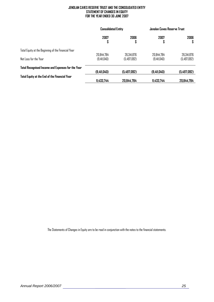## **JENOLAN CAVES RESERVE TRUST AND THE CONSOLIDATED ENTITY STATEMENT OF CHANGES IN EQUITY FOR THE YEAR ENDED 30 JUNE 2007**

|                                                     | <b>Consolidated Entity</b> |             | Jenolan Caves Reserve Trust |             |
|-----------------------------------------------------|----------------------------|-------------|-----------------------------|-------------|
|                                                     | 2007<br>S                  | 2006<br>S   | 2007<br>S                   | 2006<br>S   |
| Total Equity at the Beginning of the Financial Year |                            |             |                             |             |
|                                                     | 20.844.784                 | 26,341,876  | 20,844,784                  | 26,341,876  |
| Net Loss for the Year                               | (9,411,040)                | (5,497,092) | (9,411,040)                 | (5,497,092) |
| Total Recognised Income and Expenses for the Year   |                            |             |                             |             |
|                                                     | (9,411,040)                | (5,497,092) | (9,411,040)                 | (5,497,092) |
| Total Equity at the End of the Financial Year       |                            |             |                             |             |
|                                                     | 11,433,744                 | 20,844,784  | 11,433,744                  | 20,844,784  |

The Statements of Changes in Equity are to be read in conjunction with the notes to the financial statements.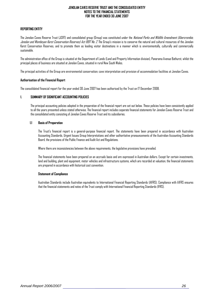## **REPORTING ENTITY**

The Jenolan Caves Reserve Trust (JCRT) and consolidated group (Group) was constituted under the *National Parks and Wildlife Amendment (Abercrombie*, Jenolan and Wombeyan Karst Conservation Reserves) Act 1997 No. 2. The Group's mission is to conserve the natural and cultural resources of the Jenolan Karst Conservation Reserves, and to promote them as leading visitor destinations in a manner which is environmentally, culturally and commercially sustainable.

The administration office of the Group is situated at the Department of Lands (Land and Property Information division), Panorama Avenue Bathurst, whilst the principal places of business are situated at Jenolan Caves, situated in rural New South Wales.

The principal activities of the Group are environmental conservation; cave interpretation and provision of accommodation facilities at Jenolan Caves.

#### **Authorisation of the Financial Report**

The consolidated financial report for the year ended 30 June 2007 has been authorised by the Trust on 17 December 2008.

## **1. SUMMARY OF SIGNIFICANT ACCOUNTING POLICIES**

The principal accounting policies adopted in the preparation of the financial report are set out below. These policies have been consistently applied to all the years presented unless stated otherwise. The financial report includes separate financial statements for Jenolan Caves Reserve Trust and the consolidated entity consisting of Jenolan Caves Reserve Trust and its subsidiaries.

### **1.1 Basis of Preparation**

The Trust's financial report is a general-purpose financial report. The statements have been prepared in accordance with Australian Accounting Standards, Urgent Issues Group Interpretations and other authoritative pronouncements of the Australian Accounting Standards Board, the provisions of the Public Finance and Audit Act and Regulations.

Where there are inconsistencies between the above requirements, the legislative provisions have prevailed.

The financial statements have been prepared on an accruals basis and are expressed in Australian dollars. Except for certain investments, land and building, plant and equipment, motor vehicles and infrastructure systems, which are recorded at valuation, the financial statements are prepared in accordance with historical cost convention.

#### **Statement of Compliance**

Australian Standards include Australian equivalents to International Financial Reporting Standards (AIFRS). Compliance with AIFRS ensures that the financial statements and notes of the Trust comply with International Financial Reporting Standards (IFRS).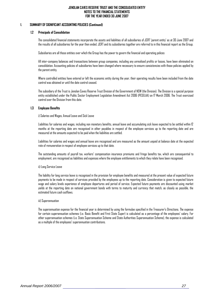#### **1. SUMMARY OF SIGNIFICANT ACCOUNTING POLICIES (Continued)**

#### **1.2 Principals of Consolidation**

The consolidated financial statements incorporate the assets and liabilities of all subsidiaries of JCRT 'parent entity' as at 30 June 2007 and the results of all subsidiaries for the year then ended. JCRT and its subsidiaries together are referred to in this financial reportas the Group.

Subsidiaries are all those entities over which the Group has the power to govern the financial and operating polices

All inter-company balances and transactions between group companies, including any unrealised profits or losses, have been eliminated on consolidation. Accounting policies of subsidiaries have been changed where necessary to ensure consistencies with those policies applied by the parent entity.

Where controlled entities have entered or left the economic entity during the year, their operating results have been included from the date control was obtained or until the date control ceased.

The subsidiary of the Trust is Jenolan Caves Reserve Trust Division of the Government of NSW (the Division). The Division is a special purpose entity established under the Public Sector Employment Legislation Amendment Act 2006 (PESELAA) on 17 March 2006. The Trust exercised control over the Division from this date.

### **1.3 Employee Benefits**

### i) Salaries and Wages, Annual Leave and Sick Leave

Liabilities for salaries and wages, including non monetary benefits, annual leave and accumulating sick leave expected to be settled within 12 months at the reporting date are recognised in other payables in respect of the employee services up to the reporting date and are measured at the amounts expected to be paid when the liabilities are settled.

Liabilities for salaries and wages and annual leave are recognised and are measured as the amount unpaid at balance date at the expected rate of remuneration in respect of employee services up to that date.

The outstanding amounts of payroll tax, workers' compensation insurance premiums and fringe benefits tax, which are consequential to employment, are recognised as liabilities and expenses where the employee entitlements to which they relate have been recognised.

#### ii) Long Service Leave

The liability for long service leave is recognised in the provision for employee benefits and measured at the present value of expected future payments to be made in respect of services provided by the employees up to the reporting date. Consideration is given to expected future wage and salary levels experience of employee departures and period of service. Expected future payments are discounted using market yields at the reporting date on national government bonds with terms to maturity and currency that match, as closely as possible, the estimated future cash outflows.

#### iii) Superannuation

The superannuation expense for the financial year is determined by using the formulae specified in the Treasurer's Directions. The expense for certain superannuation schemes (i.e. Basic Benefit and First State Super) is calculated as a percentage of the employees' salary. For other superannuation schemes (i.e. State Superannuation Scheme and State Authorities Superannuation Scheme), the expense is calculated as a multiple of the employees' superannuation contributions.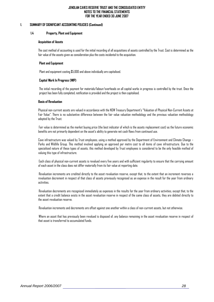#### **1. SUMMARY OF SIGNIFICANT ACCOUNTING POLICIES (Continued)**

#### **1.4 Property, Plant and Equipment**

#### **Acquisition of Assets**

The cost method of accounting is used for the initial recording of all acquisitions of assets controlled by the Trust. Cost is determined as the fair value of the assets given as consideration plus the costs incidental to the acquisition.

#### **Plant and Equipment**

Plant and equipment costing \$5,000 and above individually are capitalised.

#### **Capital Work In Progress (WIP)**

The initial recording of the payment for materials/labour/overheads on all capital works in progress is controlled by the trust. Once the project has been fully completed, notification is providedand the project is then capitalised.

#### **Basis of Revaluation**

Physical non-current assets are valued in accordance with the NSW Treasury Department's "Valuation of Physical Non-Current Assets at Fair Value". There is no substantive difference between the fair value valuation methodology and the previous valuation methodology adopted by the Trust.

Fair value is determined as the market buying price (the best indicator of which is the assets replacement cost) as the future economic benefits are not primarily dependent on the asset's ability to generate net cash flows from continued use.

Cave infrastructure was valued by Trust employees, using a method approved by the Department of Environment and Climate Change – Parks and Wildlife Group. This method involved applying an approved per metre cost to all items of cave infrastructure. Due to the specialised nature of these types of assets, this method developed by Trust employees is considered to be the only feasible method of valuing this type of infrastructure.

Each class of physical non-current assets is revalued every five years and with sufficient regularity to ensure that the carrying amount of each asset in the class does not differ materially from its fair value at reporting date.

Revaluation increments are credited directly to the asset revaluation reserve, except that, to the extent that an increment reverses a revaluation decrement in respect of that class of assets previously recognised as an expense in the result for the year from ordinary activities.

Revaluation decrements are recognised immediately as expenses in the results for the year from ordinary activities, except that, to the extent that a credit balance exists in the asset revaluation reserve in respect of the same class of assets, they are debited directly to the asset revaluation reserve.

Revaluation increments and decrements are offset against one another within a class of non-current assets, but not otherwise.

Where an asset that has previously been revalued is disposed of, any balance remaining in the asset revaluation reserve in respect of that asset is transferred to accumulated funds.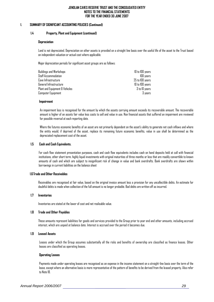#### **1. SUMMARY OF SIGNIFICANT ACCOUNTING POLICIES (Continued)**

#### **1.4 Property, Plant and Equipment (continued)**

#### **Depreciation**

Land is not depreciated. Depreciation on other assets is provided on a straight line basis over the useful life of the asset to the Trust based on independent valuation or actual cost where applicable.

Major depreciation periods for significant asset groups are as follows:

| Buildings and Workshops        | 10 to 100 years |
|--------------------------------|-----------------|
| Staff Accommodation            | 100 years       |
| Cave Infrastructure            | 25 to 100 years |
| General Infrastructure         | 10 to 100 years |
| Plant and Equipment & Vehicles | 3 to 10 years   |
| Computer Equipment             | 3 vears         |

#### **Impairment**

An impairment loss is recognised for the amount by which the assets carrying amount exceeds its recoverable amount. The recoverable amount is higher of an assets fair value less costs to sell and value in use. Non financial assets that suffered an impairment are reviewed for possible reversal at each reporting date.

Where the futures economic benefits of an asset are not primarily dependent on the asset's ability to generate net cash inflows and where the entity would, if deprived of the asset, replace its remaining future economic benefits, value in use shall be determined as the depreciated replacement cost of the asset.

#### **1.5 Cash and Cash Equivalents.**

For cash flow statement presentation purposes, cash and cash flow equivalents includes cash on hand deposits held at call with financial institutions, other short term, highly liquid investments with original maturities of three months or less that are readily convertible to known amounts of cash and which are subject to insignificant risk of change in value and bank overdrafts. Bank overdrafts are shown within borrowings in current liabilities on the balance sheet

#### **1.6Trade and Other Receivables**

Receivables are recognised at fair value, based on the original invoice amount less a provision for any uncollectible debts. An estimate for doubtful debts is made when collection of the full amount is no longer probable. Bad debts are written off as incurred.

#### **1.7 Inventories**

Inventories are stated at the lower of cost and net realisable value.

#### **1.8 Trade and Other Payables**

These amounts represent liabilities for goods and services provided to the Group prior to year end and other amounts, including accrued interest, which are unpaid at balance date. Interest is accrued over the period it becomes due.

## **1.9 Leased Assets**

Leases under which the Group assumes substantially all the risks and benefits of ownership are classified as finance leases. Other leases are classified as operating leases.

#### **Operating Leases**

Payments made under operating leases are recognised as an expense in the income statement on a straight-line basis over the term of the lease, except where an alternative basis is more representative of the pattern of benefits to be derived from the leased property. Also refer to Note 18.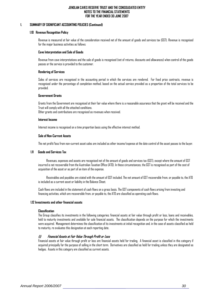#### **1. SUMMARY OF SIGNIFICANT ACCOUNTING POLICIES (Continued)**

#### **1.10 Revenue Recognition Policy**

Revenue is measured at fair value of the consideration received net of the amount of goods and services tax (GST). Revenue is recognised for the major business activities as follows:

#### **Cave Interpretation and Sale of Goods**

Revenue from cave interpretations and the sale of goods is recognised (net of returns, discounts and allowances) when control of the goods passes or the service is provided to the customer.

#### **Rendering of Services**

Sales of services are recognised in the accounting period in which the services are rendered. For fixed price contracts, revenue is recognised under the percentage of completion method, based on the actual service provided as a proportion of the total services to be provided.

#### **Government Grants**

Grants from the Government are recognised at their fair value where there is a reasonable assurance that the grant will be received and the Trust will comply with all the attached conditions.

Other grants and contributions are recognised as revenues when received.

#### **Interest Income**

Interest income is recognised on a time proportion basis using the effective interest method.

#### **Sale of Non-Current Assets**

The net profit/loss from non-current asset sales are included as other income/expense at the date control of the asset passes to the buyer.

#### **1.11 Goods and Services Tax**

Revenues, expenses and assets are recognised net of the amount of goods and services tax (GST), except where the amount of GST incurred is not recoverable from the Australian Taxation Office (ATO). In these circumstances, the GST is recognised as part of the cost of acquisition of the asset or as part of an item of the expense.

Receivables and payables are stated with the amount of GST included. The net amount of GST recoverable from, or payable to, the ATO is included as a current asset or liability in the Balance Sheet.

Cash flows are included in the statement of cash flows on a gross basis. The GST components of cash flows arising from investing and financing activities, which are recoverable from, or payable to, the ATO are classified as operating cash flows.

### **1.12 Investments and other financial assets**

#### **Classification**

The Group classifies its investments in the following categories: financial assets at fair value through profit or loss, loans and receivables, held to maturity investments and available for sale financial assets. The classification depends on the purpose for which the investments were acquired. Management determines the classification of its investments at initial recognition and, in the case of assets classified as held to maturity, re evaluates this designation at each reporting date.

## (i) Financial Assets at Fair Value Through Profit or Loss

Financial assets at fair value through profit or loss are financial assets held for trading. A financial asset is classified in this category if acquired principally for the purpose of selling in the short term. Derivatives are classified as held for trading unless they are designated as hedges. Assets in this category are classified as current assets.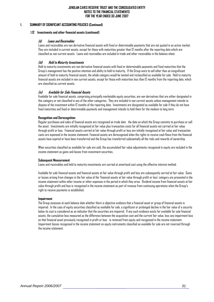#### **1. SUMMARY OF SIGNIFICANT ACCOUNTING POLICIES (Continued)**

#### **1.12 Investments and other financial assets (continued)**

### (ii) Loans and Receivables

Loans and receivables are non derivative financial assets with fixed or determinable payments that are not quoted in an active market. They are included in current assets, except for those with maturities greater than 12 months after the reporting date which are classified as non current assets. Loans and receivables are included in trade and other receivables in the balance sheet.

#### (iii) Held to Maturity Investments

Held to maturity investments are non derivative financial assets with fixed or determinable payments and fixed maturities that the Group's management has the positive intention and ability to hold to maturity. If the Group were to sell other than an insignificant amount of held to maturity financial assets, the whole category would be tainted and reclassified as available for sale. Held to maturity financial assets are included in non current assets, except for those with maturities less than 12 months from the reporting date, which are classified as current assets.

### (iv) Available for Sale Financial Assets

Available for sale financial assets, comprising principally marketable equity securities, are non derivatives that are either designated in this category or not classified in any of the other categories. They are included in non current assets unless management intends to dispose of the investment within 12 months of the reporting date. Investments are designated as available for sale if they do not have fixed maturities and fixed or determinable payments and management intends to hold them for the medium to long term.

#### **Recognition and Derecognition**

Regular purchases and sales of financial assets are recognised on trade date the date on which the Group commits to purchase or sell the asset. Investments are initially recognised at fair value plus transaction costs for all financial assets not carried at fair value through profit or loss. Financial assets carried at fair value through profit or loss are initially recognised at fair value and transaction costs are expensed in the income statement. Financial assets are derecognised when the rights to receive cash flows from the financial assets have expired or have been transferred and the Group has transferred substantially all the risks and rewards of ownership.

When securities classified as available for sale are sold, the accumulated fair value adjustments recognised in equity are included in the income statement as gains and losses from investment securities.

#### **Subsequent Measurement**

Loans and receivables and held to maturity investments are carried at amortised cost using the effective interest method.

Available for sale financial assets and financial assets at fair value through profit and loss are subsequently carried at fair value. Gains or losses arising from changes in the fair value of the 'financial assets at fair value through profit or loss' category are presented in the income statement within other income or other expenses in the period in which they arise. Dividend income from financial assets at fair value through profit and loss is recognised in the income statement as part of revenue from continuing operations when the Group's right to receive payments is established.

#### **Impairment**

The Group assesses at each balance date whether there is objective evidence that a financial asset or group of financial assets is impaired. In the case of equity securities classified as available for sale, a significant or prolonged decline in the fair value of a security below its cost is considered as an indicator that the securities are impaired. If any such evidence exists for available for sale financial assets, the cumulative loss measured as the difference between the acquisition cost and the current fair value, less any impairment loss on that financial asset previously recognised in profit or loss is removed from equity and recognised in the income statement. Impairment losses recognised in the income statement on equity instruments classified as available for sale are not reversed through the income statement.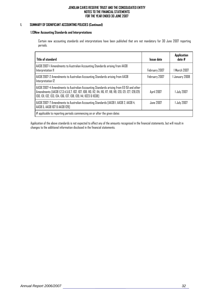## **1. SUMMARY OF SIGNIFICANT ACCOUNTING POLICIES (Continued)**

### **1.13New Accounting Standards and Interpretations**

Certain new accounting standards and interpretations have been published that are not mandatory for 30 June 2007 reporting periods.

| Title of standard                                                                                                                                                                                                                                                      | Issue date        | <b>Application</b><br>date # |
|------------------------------------------------------------------------------------------------------------------------------------------------------------------------------------------------------------------------------------------------------------------------|-------------------|------------------------------|
| AASB 2007-1 Amendments to Australian Accounting Standards arising from AASB<br>Interpretation II                                                                                                                                                                       | February 2007     | 1 March 2007                 |
| AASB 2007-2 Amendments to Australian Accounting Standards arising from AASB<br>Interpretation 12                                                                                                                                                                       | February 2007     | 1 January 2008               |
| AASB 2007-4 Amendments to Australian Accounting Standards arising from ED 151 and other<br>Amendments [AASB 1,2,3,4,5,6,7, 102, 107, 108, 110, 112, 114, 116, 117, 118, 119, 120, 121, 127, 128,129,<br>130, 131, 132, 133, 134, 136, 137, 138, 139, 141, 1023 & 1038] | <b>April 2007</b> | 1 July 2007                  |
| AASB 2007-7 Amendments to Australian Accounting Standards [AASB 1, AASB 2, AASB 4,<br>AASB 5, AASB 107 & AASB 128]                                                                                                                                                     | June 2007         | 1 July 2007                  |
| $#$ applicable to reporting periods commencing on or after the given dates                                                                                                                                                                                             |                   |                              |

Application of the above standards is not expected to affect any of the amounts recognised in the financial statements, but will result in changes to the additional information disclosed in the financial statements.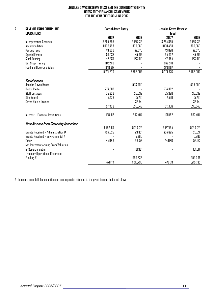| <b>REVENUE FROM CONTINUING</b><br><b>OPERATIONS</b> | <b>Consolidated Entity</b> |           | Jenolan Caves Reserve<br><b>Trust</b> |           |
|-----------------------------------------------------|----------------------------|-----------|---------------------------------------|-----------|
|                                                     | 2007                       | 2006      | 2007                                  | 2006      |
| <b>Interpretation Services</b>                      | 3,254,855                  | 3,186,136 | 3,254,855                             | 3,186,136 |
| Accommodation                                       | 1,008,453                  | 360,969   | 1,008,453                             | 360,969   |
| Parking Fees                                        | 49,820                     | 42,575    | 49,820                                | 42,575    |
| <b>Special Events</b>                               | 54,037                     | 45,312    | 54,037                                | 45,312    |
| Kiosk Trading                                       | 42,984                     | 133,100   | 42,984                                | 133,100   |
| Gift Shop Trading                                   | 342,910                    |           | 342,910                               |           |
| Food and Beverage Sales                             | 948,817                    |           | 948,817                               |           |
|                                                     | 5,701,876                  | 3,768,092 | 5,701,876                             | 3,768,092 |
| Rental Income                                       |                            |           |                                       |           |
| Jenolan Caves House                                 |                            | 503,000   |                                       | 503,000   |
| <b>Bistro Rental</b>                                | 274,382                    |           | 274,382                               |           |
| <b>Staff Cottages</b>                               | 35,328                     | 36,592    | 35,328                                | 36,592    |
| <b>Site Rental</b>                                  | 7,426                      | 15,210    | 7,426                                 | 15,210    |
| <b>Caves House Utilities</b>                        |                            | 35,741    |                                       | 35,741    |
|                                                     | 317,136                    | 590,543   | 317,136                               | 590,543   |
| Interest - Financial Institutions                   | 168,152                    | 857,494   | 168,152                               | 857,494   |
| Total Revenue From Continuing Operations            |                            |           |                                       |           |
|                                                     | 6,187,164                  | 5,216,129 | 6,187,164                             | 5,216,129 |
| Grants Received - Administration $#$                | 434,625                    | 29,391    | 434,625                               | 29,391    |
| Grants Received - Environmental #                   |                            | 5,960     |                                       | 5,960     |
| Other                                               | 44,086                     | 59,152    | 44,086                                | 59,152    |
| Net Increment Arising From Valuation                |                            |           |                                       |           |
| of Superannuation                                   |                            | 161,901   |                                       | 161.901   |
| <b>Treasury Operational Recurrent</b>               |                            |           |                                       |           |
| Funding #                                           |                            | 959,335   |                                       | 959,335   |
|                                                     | 478,711                    | 1,215,739 | 478,711                               | 1,215,739 |

# There are no unfulfilled conditions or contingencies attained to the grant income indicated above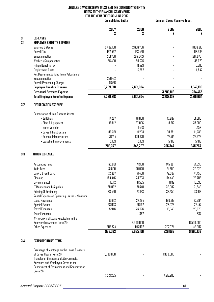**Consolidated Entity Jenolan Caves Reserve Trust**

|     |                                              | 2007      | 2006       | 2007      | 2006       |
|-----|----------------------------------------------|-----------|------------|-----------|------------|
| 3   | <b>EXPENSES</b>                              | S         | \$         | S         | S          |
| 3.1 | <b>EMPLOYEE BENEFITS EXPENSE</b>             |           |            |           |            |
|     | Salaries & Wages                             | 2,492,100 | 2,656,786  |           | 1,886,318  |
|     | Payroll Tax                                  | 162,552   | 153,499    |           | 108,984    |
|     | Superannuation                               | 261,738   | (284, 042) |           | (201, 670) |
|     | Worker's Compensation                        | 55,460    | 50,675     |           | 35,979     |
|     | Fringe Benefits Tax                          |           | 8,429      |           | 5,985      |
|     | <b>Employment Costs</b>                      |           | 16,257     |           | 11,542     |
|     | Net Decrement Arising From Valuation of      |           |            |           |            |
|     | Superannuation                               | 236,412   |            |           |            |
|     | Payroll Processing Charge                    | 81,556    |            |           |            |
|     | <b>Employee Benefits Expense</b>             | 3,289,818 | 2,601,604  |           | 1,847,139  |
|     | Personnel Services Expense                   |           |            | 3,289,818 | 754,465    |
|     | <b>Total Employee Benefits Expense</b>       | 3,289,818 | 2,601,604  | 3,289,818 | 2,601,604  |
| 3.2 | <b>DEPRECIATION EXPENSE</b>                  |           |            |           |            |
|     | Depreciation of Non-Current Assets           |           |            |           |            |
|     | - Buildings                                  | 17,287    | 61,008     | 17,287    | 61,008     |
|     | - Plant & Equipment                          | 18,812    | 37,006     | 18,812    | 37,006     |
|     | - Motor Vehicles                             |           | 1,458      |           | 1,458      |
|     | - Caves Infrastructure                       | 88,351    | 111,233    | 88,351    | 111,233    |
|     | - General Infrastructure                     | 76,714    | 129,379    | 76,714    | 129,379    |
|     | - Leasehold Improvements                     | 5,183     | 5,183      | 5,183     | 5,183      |
|     |                                              | 206,347   | 345,267    | 206,347   | 345,267    |
| 3.3 | <b>OTHER EXPENSES</b>                        |           |            |           |            |
|     | <b>Accounting Fees</b>                       | 145,861   | 71,398     | 145,861   | 71,398     |
|     | <b>Audit Fees</b>                            | 31,500    | 29,920     | 31,500    | 29,920     |
|     | <b>Bank &amp; Credit Card</b>                | 72,307    | 41,458     | 72,307    | 41,458     |
|     | Cleaning                                     | 154,446   | 23,703     | 154,446   | 23,703     |
|     | Environmental                                | 18,112    | 16,595     | 18,112    | 16,595     |
|     | IT Maintenance & Supplies                    | 38,082    | 31,548     | 38,082    | 31,548     |
|     | <b>Printing &amp; Stationery</b>             | 38,450    | 23,163     | 38,450    | 23,163     |
|     | Rental Expense on Operating Leases - Minimum |           |            |           |            |
|     | Lease Payments                               | 180,612   | 27,294     | 180,612   | 27,294     |
|     | <b>Special Events</b>                        | 28,023    | 26,157     | 28,023    | 26,157     |
|     | <b>Travel Expenses</b>                       | 15,946    | 26,076     | 15,946    | 26,076     |
|     | <b>Trust Expenses</b>                        |           | 887        |           | 887        |
|     | Write-Down of Lease Receivable to it's       |           |            |           |            |
|     | Recoverable Amount (Note 21)                 |           | 6,500,000  |           | 6,500,000  |
|     | Other Expenses                               | 202,724   | 146,907    | 202,724   | 146,907    |
|     |                                              | 926,063   | 9,965,106  | 926,063   | 9,965,106  |
| 3.4 | <b>EXTRADRDINARY ITEMS</b>                   |           |            |           |            |
|     | Discharge of Mortgage on the Lease & Assets  |           |            |           |            |
|     | of Caves House (Note 21)                     | 1,300,000 |            | 1,300,000 |            |
|     | Transfer of the assets of Abercrombie,       |           |            |           |            |
|     | Borenore and Wombeyan Caves to the           |           |            |           |            |
|     | Department of Environment and Conservation   |           |            |           |            |
|     | (Note 21)                                    |           |            |           |            |
|     |                                              | 7,513,285 |            | 7,513,285 |            |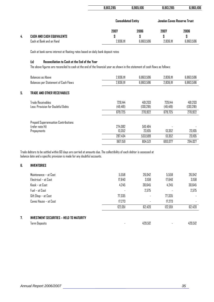|    |                           | 8,813,285 | 6,965,106                  | 8,813,285                   | 6,965,106 |
|----|---------------------------|-----------|----------------------------|-----------------------------|-----------|
|    |                           |           | <b>Consolidated Entity</b> | Jenolan Caves Reserve Trust |           |
|    |                           | 2007      | 2006                       | 2007                        | 2006      |
| 4. | CASH AND CASH EQUIVALENTS | S         | S                          | S                           | S         |
|    | Cash at Bank and on Hand  | 2,836,111 | 6,863,596                  | 2,836,111                   | 6.863.596 |

Cash at bank earns interest at floating rates based on daily bank deposit rates

## **(a) Reconciliation to Cash at the End of the Year**

The above figures are reconciled to cash at the end of the financial year as shown in the statement of cash flows as follows:

|    | Balances as Above                                              | 2.836.111            | 6,863,596            | 2.836.111            | 6,863,596             |
|----|----------------------------------------------------------------|----------------------|----------------------|----------------------|-----------------------|
|    | Balances per Statement of Cash Flows                           | 2,836,111            | 6,863,596            | 2,836,111            | 6,863,596             |
| 5. | TRADE AND OTHER RECEIVABLES                                    |                      |                      |                      |                       |
|    | <b>Trade Receivables</b><br>Less: Provision for Doubtful Debts | 729.144<br>(49, 419) | 401.203<br>(130,281) | 779.144<br>(49, 419) | 401.203<br>(130, 281) |
|    |                                                                | 679,725              | 270,922              | 679,725              | 270,922               |
|    | Prepaid Superannuation Contributions                           |                      |                      |                      |                       |
|    | (refer note 14)                                                | 274.082              | 510,494              |                      |                       |
|    | Prepayments                                                    | 13,352               | 23.105               | 13.352               | 23.105                |
|    |                                                                | 287,434              | 533,599              | 13,352               | 23.105                |
|    |                                                                | 967,159              | 804,521              | 693.077              | 294.027               |

Trade debtors to be settled within 60 days are carried at amounts due. The collectibility of each debtor is assessed at balance date and a specific provision is made for any doubtful accounts.

## **6. INVENTORIES**

| Maintenance – at Cost | 5,558   | 26,042                   | 5,558   | 26,042 |
|-----------------------|---------|--------------------------|---------|--------|
| Electrical – at Cost  | 17,640  | 3,158                    | 17,640  | 3,158  |
| Kiosk – at Cost       | 4.245   | 30,645                   | 4.245   | 30,645 |
| Fuel – at Cost        |         | 2,575                    |         | 2,575  |
| Gift Shop – at Cost   | 77,335  | -                        | 77,335  |        |
| Caves House – at Cost | 17,273  | $\overline{\phantom{a}}$ | 17,273  |        |
|                       | 122,051 | 62,420                   | 122,051 | 62,420 |

## **7. INVESTMENT SECURITIES – HELD TO MATURITY**

| INVESTMENT SELUKTIJES – HELU TU MATUKITY |         |         |
|------------------------------------------|---------|---------|
| 1 Deposits<br>lerm                       | 429.512 | 429,512 |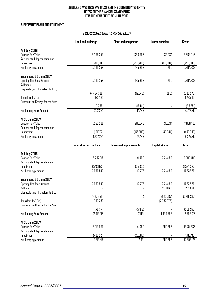### **8. PROPERTY PLANT AND EQUIPMENT**

## CONSOLIDATED ENTITY & PARENT ENTITY

|                                            | Land and buildings            | <b>Plant and equipment</b> | Motor vehicles             | Caves                  |
|--------------------------------------------|-------------------------------|----------------------------|----------------------------|------------------------|
| At 1 July 2006                             |                               |                            |                            |                        |
| Cost or Fair Value                         | 5,766,349                     | 366,308                    | 39,234                     | 6,364,043              |
| Accumulated Depreciation and               |                               |                            |                            |                        |
| Impairment                                 | (235, 801)                    | (220, 400)                 | (39,034)                   | (499, 805)             |
| Net Carrying Amount                        | 5,530,548                     | 145,908                    | 200                        | 5,864,238              |
| Year ended 30 June 2007                    |                               |                            |                            |                        |
| <b>Opening Net Book Amount</b>             | 5,530,548                     | 145,908                    | 200                        | 5,864,238              |
| Additions                                  |                               |                            |                            |                        |
| Disposals (incl. Transfers to DEC)         |                               |                            |                            |                        |
|                                            | (4,434,708)                   | (12,648)                   | (200)                      | (963,573)              |
| Transfers In/(Out)                         | 173,735                       |                            |                            | 1,765,001              |
| Depreciation Charge for the Year           |                               |                            |                            |                        |
|                                            | (17, 288)<br>1,252,287        | (18, 811)<br>114,449       |                            | (88, 351)<br>6,577,315 |
| Net Closing Book Amount                    |                               |                            | $\blacksquare$             |                        |
| At 30 June 2007                            |                               |                            |                            |                        |
| Cost or Fair Value                         | 1,353,990                     | 269,848                    | 39,034                     | 7,036,707              |
| Accumulated Depreciation and               |                               |                            |                            |                        |
| Impairment                                 | (101, 703)                    | (155, 399)                 | (39,034)                   | (459, 393)             |
| Net Carrying Amount                        | 1,252,287                     | 114.449                    |                            | 6,577,315              |
|                                            |                               |                            |                            |                        |
|                                            | <b>General Infrastructure</b> | Leasehold Improvements     | <b>Capital Works</b>       | Total                  |
|                                            |                               |                            |                            |                        |
| At 1 July 2006                             |                               |                            |                            |                        |
| Cost or Fair Value                         | 3,207,915                     | 41,460                     | 3,314,189                  | 19,099,498             |
| Accumulated Depreciation and<br>Impairment | (548, 072)                    | (24, 185)                  |                            | (1,567,297)            |
| Net Carrying Amount                        | 2,659,843                     | 17,275                     | 3,314,189                  | 17,532,201             |
|                                            |                               |                            |                            |                        |
| Year ended 30 June 2007                    |                               |                            |                            |                        |
| <b>Opening Net Book Amount</b>             | 2,659,843                     | 17,275                     | 3,314,189                  | 17,532,201             |
| Additions                                  |                               |                            | 2,731,616                  | 2,731,616              |
| Disposals (incl. Transfers to DEC)         |                               |                            |                            |                        |
| Transfers In/(Out)                         | (962, 950)<br>999,239         | (1)                        | (1,117,267)<br>(2,937,975) | (7,491,347)            |
| Depreciation Charge for the Year           |                               |                            |                            |                        |
|                                            | (76, 714)                     | (5.183)                    |                            | (206, 347)             |
| <b>Net Closing Book Amount</b>             | 2,619,418                     | 12,091                     | 1,990,563                  | 12,556,123             |
|                                            |                               |                            |                            |                        |
| At 30 June 2007                            |                               |                            |                            |                        |
| Cost or Fair Value                         | 3,019,930                     | 41,460                     | 1,990,563                  | 13,751,533             |
| Accumulated Depreciation and<br>Impairment | (400, 512)                    | (29, 369)                  |                            | (1,185,410)            |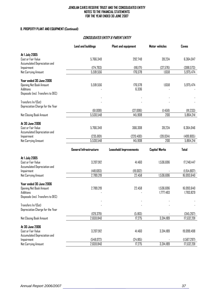## **8. PROPERTY PLANT AND EQUIPMENT (Continued)**

## CONSOLIDATED ENTITY & PARENT ENTITY

|                                                 | Land and buildings      | <b>Plant and equipment</b>    | Motor vehicles       | Caves                   |
|-------------------------------------------------|-------------------------|-------------------------------|----------------------|-------------------------|
| At 1 July 2005                                  |                         |                               |                      |                         |
| Cost or Fair Value                              | 5,766,349               | 292,749                       | 39,234               | 6,364,047               |
| Accumulated Depreciation and                    |                         |                               |                      |                         |
| Impairment<br>Net Carrying Amount               | (174, 793)<br>5,591,556 | (116, 171)<br>176,578         | (37,576)<br>1,658    | (388, 573)<br>5,975,474 |
|                                                 |                         |                               |                      |                         |
| Year ended 30 June 2006                         |                         |                               |                      |                         |
| <b>Opening Net Book Amount</b>                  | 5,591,556               | 176,578                       | 1,658                | 5,975,474               |
| Additions<br>Disposals (incl. Transfers to DEC) |                         | 6,336                         |                      |                         |
|                                                 |                         |                               |                      |                         |
| Transfers In/(Out)                              |                         |                               |                      |                         |
| Depreciation Charge for the Year                | (61,008)                | (37,006)                      | (1,458)              | (111, 233)              |
| <b>Net Closing Book Amount</b>                  | 5,530,548               | 145,908                       | 200                  | 5,864,241               |
|                                                 |                         |                               |                      |                         |
| At 30 June 2006                                 |                         |                               |                      |                         |
| Cost or Fair Value                              | 5.766.349               | 366,308                       | 39,234               | 6,364,046               |
| Accumulated Depreciation and<br>Impairment      | (235, 801)              | (220, 400)                    | (39,034)             | (499, 805)              |
| Net Carrying Amount                             | 5,530,548               | 145,908                       | 200                  | 5,864,241               |
|                                                 |                         |                               |                      |                         |
|                                                 |                         |                               |                      |                         |
|                                                 | General Infrastructure  | <b>Leasehold Improvements</b> | <b>Capital Works</b> | <b>Total</b>            |
|                                                 |                         |                               |                      |                         |
| At 1 July 2005<br>Cost or Fair Value            | 3,207,912               | 41,460                        | 1,536,696            | 17,248,447              |
| Accumulated Depreciation and                    |                         |                               |                      |                         |
| Impairment                                      | (418, 693)              | (19,002)                      |                      | (1,154,807)             |
| Net Carrying Amount                             | 2,789,219               | 22,458                        | 1,536,696            | 16,093,640              |
| Year ended 30 June 2006                         |                         |                               |                      |                         |
| <b>Opening Net Book Amount</b>                  | 2,789,219               | 22,458                        | 1,536,696            | 16,093,640              |
| Additions                                       |                         |                               | 1,777,493            | 1,783,829               |
| Disposals (incl. Transfers to DEC)              |                         |                               |                      |                         |
| Transfers In/(Dut)                              |                         |                               |                      |                         |
| Depreciation Charge for the Year                |                         |                               |                      |                         |
|                                                 | (129, 379)              | (5,183)                       |                      | (345, 267)              |
| <b>Net Closing Book Amount</b>                  | 2,659,840               | 17,275                        | 3,314,189            | 17,532,201              |
| At 30 June 2006                                 |                         |                               |                      |                         |
| Cost or Fair Value                              | 3,207,912               | 41,460                        | 3,314,189            | 19,099,498              |
| Accumulated Depreciation and<br>Impairment      | (548, 072)              | (24, 185)                     |                      | (1,567,297)             |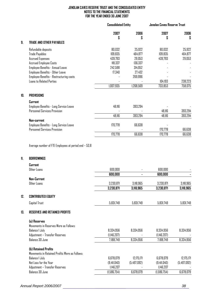|     |                                                | <b>Consolidated Entity</b> |           | Jenolan Caves Reserve Trust |           |
|-----|------------------------------------------------|----------------------------|-----------|-----------------------------|-----------|
|     |                                                | 2007<br>S                  | 2006<br>S | 2007<br>S                   | 2006<br>S |
| 9.  | <b>TRADE AND OTHER PAYABLES</b>                |                            |           |                             |           |
|     | Refundable deposits                            | 80,032                     | 25,922    | 80,032                      | 25,922    |
|     | <b>Trade Payables</b>                          | 109,835                    | 464,877   | 109,835                     | 464,877   |
|     | <b>Accrued Expenses</b>                        | 439,793                    | 29,053    | 439,793                     | 29,053    |
|     | <b>Accrued Employee Costs</b>                  | 118,337                    | 136,337   |                             |           |
|     | Employee Benefits - Annual Leave               | 242,598                    | 314,952   |                             |           |
|     | <b>Employee Benefits - Other Leave</b>         | 17,340                     | 27,432    |                             |           |
|     | <b>Employee Benefits - Restructuring costs</b> |                            | 269,996   |                             |           |
|     | <b>Loans to Related Parties</b>                |                            |           | 104,193                     | 238,223   |
|     |                                                | 1,007,935                  | 1,268,569 | 733,853                     | 758,075   |
| 10. | <b>PROVISIONS</b>                              |                            |           |                             |           |
|     | <b>Current</b>                                 |                            |           |                             |           |
|     | Employee Benefits - Long Service Leave         | 48,116                     | 393,294   |                             |           |
|     | Personnel Services Provision                   |                            |           | 48,116                      | 393,294   |
|     |                                                | 48,116                     | 393,294   | 48,116                      | 393,294   |
|     | Non-current                                    |                            |           |                             |           |
|     | Employee Benefits - Long Service Leave         | 170,778                    | 66,638    |                             |           |
|     | Personnel Services Provision                   |                            |           | 170,778                     | 66,638    |
|     |                                                | 170,778                    | 66,638    | 170,778                     | 66,638    |
|     |                                                |                            |           |                             |           |

Average number of FTE Employees at period end – 53.8

## **11. BORROWINGS**

|     | Current                                        |             |             |             |             |
|-----|------------------------------------------------|-------------|-------------|-------------|-------------|
|     | Other Loans                                    | 600.000     |             | 600.000     |             |
|     |                                                | 600,000     | ۰.          | 600,000     |             |
|     | Non-Current                                    |             |             |             |             |
|     | Other Loans                                    | 3,230,871   | 3,118,965   | 3,230,871   | 3,118,965   |
|     |                                                | 3,230,871   | 3,118,965   | 3,230,871   | 3,118,965   |
| 12. | <b>CONTRIBUTED EQUITY</b>                      |             |             |             |             |
|     | Capital Trust                                  | 5,831,749   | 5,831,749   | 5,831,749   | 5,831,749   |
| 13. | <b>RESERVES AND RETAINED PROFITS</b>           |             |             |             |             |
|     | (a) Reserves                                   |             |             |             |             |
|     | Movements in Reserves Were as Follows:         |             |             |             |             |
|     | <b>Balance I July</b>                          | 8,334,956   | 8,334,956   | 8,334,956   | 8,334,956   |
|     | Adjustment - Transfer Reserves                 | (1,146,207) |             | (1,146,207) |             |
|     | Balance 30 June                                | 7,188,749   | 8,334,956   | 7,188,749   | 8,334,956   |
|     | (b) Retained Profits                           |             |             |             |             |
|     | Movements in Retained Profits Were as Follows: |             |             |             |             |
|     | <b>Balance I July</b>                          | 6,678,079   | 12,175,171  | 6,678,079   | 12,175,171  |
|     | Net Loss for the Year                          | (9,411,040) | (5,497,092) | (9,411,040) | (5,497,092) |
|     | Adjustment - Transfer Reserves                 | 1,146,207   |             | 1,146,207   |             |
|     | Balance 30 June                                | (1,586,754) | 6,678,079   | (1,586,754) | 6,678,079   |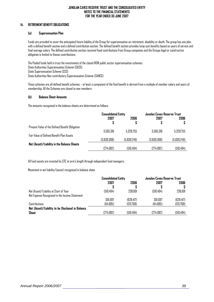## **14. RETIREMENT BENEFIT OBLIGATIONS**

## **(a) Superannuation Plan**

Funds are provided to cover the anticipated future liability of the Group for superannuation on retirement, disability or death. The group has one plan with a defined benefit section and a defined contribution section. The defined benefit section provides lump sum benefits based on years of service and final average salary. The defined contribution section received fixed contributions from Group companies and the Groups legal or constructive obligation is limited to theses contributions.

The Pooled funds hold in trust the investments of the closed NSW public sector superannuation schemes: State Authorities Superannuation Scheme (SASS) State Superannuation Scheme (SSS) State Authorities Non-contributory Superannuation Scheme (SANCS)

These schemes are all defined benefit schemes – at least a component of the final benefit is derived from a multiple of member salary and years of membership. All the Schemes are closed to new members.

## **(b) Balance Sheet Amounts**

The amounts recognised in the balance sheets are determined as follows:

|                                                 | <b>Consolidated Entity</b> |             | Jenolan Caves Reserve Trust |             |
|-------------------------------------------------|----------------------------|-------------|-----------------------------|-------------|
|                                                 | 2007                       | 2006        | 2007                        | 2006        |
| Present Value of the Defined Benefit Obligation |                            |             |                             |             |
|                                                 | 3,565,316                  | 5,328,755   | 3,565,316                   | 5,328,755   |
| Fair Value of Defined Benefit Plan Assets       | (3,839,398)                | (5,839,249) | (3,839,398)                 | (5,839,249) |
| Net (Asset)/Liability in the Balance Sheets     |                            |             |                             |             |
|                                                 | (274,082)                  | (510,494)   | (274, 082)                  | (510,494)   |

All fund assets are invested by STC at arm's length through independent fund managers.

Movement in net liability/(asset) recognised in balance sheet

|                                                  | <b>Consolidated Entity</b> |            | Jenolan Caves Reserve Trust |            |
|--------------------------------------------------|----------------------------|------------|-----------------------------|------------|
|                                                  | 2007                       | 2006       | 2007                        | 2006       |
|                                                  |                            |            |                             |            |
| Net (Asset)/Liability at Start of Year           | (510, 494)                 | 238,691    | (510, 494)                  | 238,691    |
| Net Expense Recognised in the Income Statement   |                            |            |                             |            |
|                                                  | 301.097                    | (628, 417) | 301,097                     | (628, 417) |
| Contributions                                    | (64, 685)                  | (120.768)  | (64, 685)                   | (120, 768) |
| Net (Asset)/Liability to be Disclosed in Balance |                            |            |                             |            |
| <b>Sheet</b>                                     | (274,082)                  | (510, 494) | (274, 082)                  | (510, 494) |
|                                                  |                            |            |                             |            |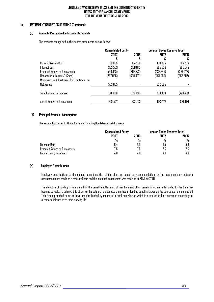#### **14. RETIREMENT BENEFIT OBLIGATIONS (Continued)**

#### **(c) Amounts Recognised in Income Statements**

The amounts recognised in the income statements are as follows:

|                                          | <b>Consolidated Entity</b> |            | Jenolan Caves Reserve Trust |            |  |
|------------------------------------------|----------------------------|------------|-----------------------------|------------|--|
|                                          | 2007                       | 2006       |                             | 2006       |  |
|                                          |                            |            |                             |            |  |
| Current Service Cost                     | 108,065                    | 134.206    | 108.065                     | 134,206    |  |
| Interest Cost                            | 305,559                    | 200,045    | 305,559                     | 200,045    |  |
| Expected Return on Plan Assets           | (436, 645)                 | (396,772)  | (436, 645)                  | (396,772)  |  |
| Net Actuarial Losses / (Gains)           | (267, 966)                 | (665,897)  | (267, 966)                  | (665,897)  |  |
| Movement in Adjustment for Limitation on |                            |            |                             |            |  |
| Net Assets                               | 592,085                    |            | 592,085                     |            |  |
|                                          |                            |            |                             |            |  |
| Total Included in Expense                | 301,098                    | (728, 418) | 301,098                     | (728, 418) |  |
|                                          |                            |            |                             |            |  |
| Actual Return on Plan Assets             | 682,777                    | 830,031    | 682,777                     | 830,031    |  |

#### **(d) Principal Actuarial Assumptions**

The assumptions used by the actuary in estimating the deferred liability were:

|                                | <b>Consolidated Entity</b> |            | Jenolan Caves Reserve Trust |      |  |
|--------------------------------|----------------------------|------------|-----------------------------|------|--|
|                                | 2007                       | 2006       | 2007                        | 2006 |  |
|                                | %                          | ₩          | %                           | %    |  |
| Discount Rate                  | b.4                        | ם ב<br>u.u | 6.4                         | 5.9  |  |
| Expected Return on Plan Assets | <b>70</b><br>7.b           | 7.6        | 7.6                         | 7.6  |  |
| Future Salary Increases        | 4.0                        | 4.0        | 4.U                         | 4.0  |  |

#### **(e) Employer Contributions**

Employer contributions to the defined benefit section of the plan are based on recommendations by the plan's actuary. Actuarial assessments are made on a monthly basis and the last such assessment was made as at 30 June 2007.

The objective of funding is to ensure that the benefit entitlements of members and other beneficiaries are fully funded by the time they become payable. To achieve this objective the actuary has adopted a method of funding benefits known as the aggregate funding method. This funding method seeks to have benefits funded by means of a total contribution which is expected to be a constant percentage of members salaries over their working life.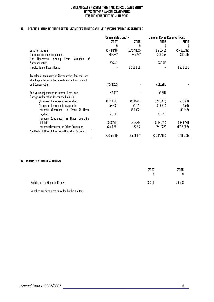## **15. RECONCILIATION OF PROFIT AFTER INCOME TAX TO NET CASH INFLOW FROM OPERATING ACTIVITIES**

|                                                     | <b>Consolidated Entity</b> |             |             | Jenolan Caves Reserve Trust |  |
|-----------------------------------------------------|----------------------------|-------------|-------------|-----------------------------|--|
|                                                     | 2007                       | 2006        | 2007        | 2006                        |  |
|                                                     |                            | S           |             |                             |  |
| Loss for the Year                                   | (9,411,040)                | (5,497,092) | (9,411,040) | (5,497,092)                 |  |
| Depreciation and Amortisation                       | 206,347                    | 345,267     | 206,347     | 345,267                     |  |
| Decrement<br>Arising<br>Valuation of<br>From<br>Net |                            |             |             |                             |  |
| Superannuation                                      | 236,412                    |             | 236,412     |                             |  |
| <b>Revaluation of Caves House</b>                   |                            | 6,500,000   |             | 6,500,000                   |  |
|                                                     |                            |             |             |                             |  |
| Transfer of the Assets of Abercrombie, Borenore and |                            |             |             |                             |  |
| Wombeyan Caves to the Department of Environment     |                            |             |             |                             |  |
| and Conservation                                    | 7,513,285                  |             | 7,513,285   |                             |  |
|                                                     |                            |             |             |                             |  |
| Fair Value Adjustment on Interest Free Loan         | 142,807                    |             | 142,807     |                             |  |
| Change in Operating Assets and Liabilities          |                            |             |             |                             |  |
| (Increase) Decrease in Receivables                  | (399,050)                  | (591,543)   | (399,050)   | (591,543)                   |  |
| (Increase) Decrease in Inventories                  | (59, 631)                  | (7.521)     | (59,631)    | (7,521)                     |  |
| Increase (Decrease) in Trade & Other                |                            | (50, 442)   |             | (50, 442)                   |  |
| Payables                                            | 55,698                     |             | 55,698      |                             |  |
| (Decrease) in Other Operating<br>Increase           |                            |             |             |                             |  |
| Liabilities                                         | (338,270)                  | 1,648,916   | (338,270)   | 3,989,290                   |  |
| Increase (Decrease) in Other Provisions             | (241, 038)                 | 1,122,312   | (241, 038)  | (1,218,062)                 |  |
| Net Cash (Outflow) Inflow from Operating Activities |                            |             |             |                             |  |
|                                                     | (2,294,480)                | 3,469,897   | (2,294,480) | 3,469,897                   |  |

## **16. REMUNERATION OF AUDITORS**

|                                  | 2007<br>e | <b>2006</b><br>S |
|----------------------------------|-----------|------------------|
| Auditing of the Financial Report | 31,500    | 29,458           |

No other services were provided by the auditors.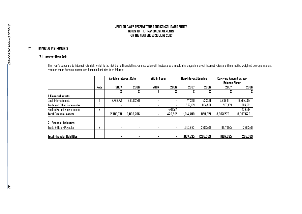## **17. FINANCIAL INSTRUMENTS**

## **17.1 Interest Rate Risk**

The Trust's exposure to interest rate risk, which is the risk that a financial instruments value will fluctuate as a result of changes in market interest rates and the effective weighted average interest rates on those financial assets and financial liabilities is as follows:-

|                                     |      | Variable Interest Rate<br>Within 1 year |           | Non-Interest Bearing |         | Carrying Amount as per<br><b>Balance Sheet</b> |           |           |           |
|-------------------------------------|------|-----------------------------------------|-----------|----------------------|---------|------------------------------------------------|-----------|-----------|-----------|
|                                     | Note | 2007                                    | 2006      | 2007                 | 2006    | 2007                                           | 2006      | 2007      | 2006      |
|                                     |      |                                         |           |                      |         |                                                |           |           |           |
| <b>Financial assets</b>             |      |                                         |           |                      |         |                                                |           |           |           |
| Cash & Investments                  |      | 2,788,771                               | 6,808,296 |                      |         | 47,340                                         | 55,300    | 2,836,111 | 6,863,596 |
| Trade and Other Receivables         | IJ.  |                                         |           |                      |         | 967,159                                        | 804,521   | 967,159   | 804,521   |
| <b>Held to Maturity Investments</b> |      |                                         |           |                      | 429,512 |                                                |           |           | 429,512   |
| Total Financial Assets              |      | 2,788,771                               | 6,808,296 |                      | 429,512 | 1,014,499                                      | 859,821   | 3,803,270 | 8,097,629 |
|                                     |      |                                         |           |                      |         |                                                |           |           |           |
| 2. Financial Liabilities            |      |                                         |           |                      |         |                                                |           |           |           |
| Trade & Other Payables              | 9    |                                         |           |                      |         | 1,007,935                                      | 1,268,569 | 1,007,935 | 1,268,569 |
| <b>Total Financial Liabilities</b>  |      |                                         |           |                      |         | 1,007,935                                      | 1,268,569 | 1,007,935 | 1,268,569 |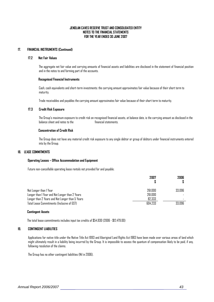#### **17. FINANCIAL INSTRUMENTS (Continued)**

## **17.2 Net Fair Values**

The aggregate net fair value and carrying amounts of financial assets and liabilities are disclosed in the statement of financial position and in the notes to and forming part of the accounts.

#### **Recognised Financial Instruments**

Cash, cash equivalents and short-term investments: the carrying amount approximates fair value because of their short term to maturity.

Trade receivables and payables the carrying amount approximates fair value because of their short term to maturity.

### **17.3 Credit Risk Exposure**

The Group's maximum exposure to credit risk on recognised financial assets, at balance date, is the carrying amount as disclosed in the balance sheet and notes to the financial statements.

#### **Concentration of Credit Risk**

The Group does not have any material credit risk exposure to any single debtor or group of debtors under financial instruments entered into by the Group.

## **18. LEASE COMMITMENTS**

#### **Operating Leases – Office Accommodation and Equipment**

Future non-cancellable operating lease rentals not provided for and payable;

|                                                 | 2007    | 2006.  |
|-------------------------------------------------|---------|--------|
| Not Longer than I Year                          | 261.000 | 33.096 |
| Longer than I Year and Not Longer than 2 Years  | 261,000 |        |
| Longer than 2 Years and Not Longer than 5 Years | 82,333  |        |
| Total Lease Commitments (Inclusive of GST)      | 604.233 | 33.096 |

#### **Contingent Assets**

The total lease commitments includes input tax credits of \$54,930 (2006 - \$12,479.00)

#### **19. CONTINGENT LIABILITIES**

Applications for native title under the Native Title Act 1993 and Aboriginal Land Rights Act 1983 have been made over various areas of land which might ultimately result in a liability being incurred by the Group. It is impossible to assess the quantum of compensation likely to be paid, if any, following resolution of the claims.

The Group has no other contingent liabilities (Nil in 2006).